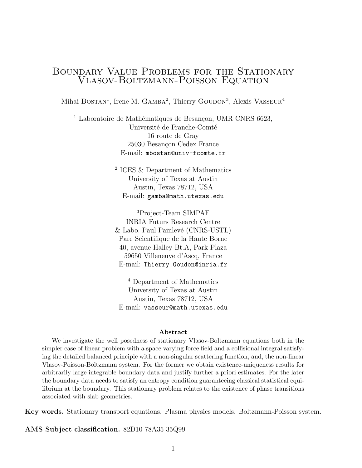## Boundary Value Problems for the Stationary Vlasov-Boltzmann-Poisson Equation

Mihai BOSTAN<sup>1</sup>, Irene M. GAMBA<sup>2</sup>, Thierry GOUDON<sup>3</sup>, Alexis VASSEUR<sup>4</sup>

 $1$  Laboratoire de Mathématiques de Besançon, UMR CNRS 6623, Université de Franche-Comté 16 route de Gray 25030 Besançon Cedex France E-mail: mbostan@univ-fcomte.fr

> 2 ICES & Department of Mathematics University of Texas at Austin Austin, Texas 78712, USA E-mail: gamba@math.utexas.edu

> <sup>3</sup>Project-Team SIMPAF INRIA Futurs Research Centre & Labo. Paul Painlevé (CNRS-USTL) Parc Scientifique de la Haute Borne 40, avenue Halley Bt.A, Park Plaza 59650 Villeneuve d'Ascq, France E-mail: Thierry.Goudon@inria.fr

<sup>4</sup> Department of Mathematics University of Texas at Austin Austin, Texas 78712, USA E-mail: vasseur@math.utexas.edu

#### Abstract

We investigate the well posedness of stationary Vlasov-Boltzmann equations both in the simpler case of linear problem with a space varying force field and a collisional integral satisfying the detailed balanced principle with a non-singular scattering function, and, the non-linear Vlasov-Poisson-Boltzmann system. For the former we obtain existence-uniqueness results for arbitrarily large integrable boundary data and justify further a priori estimates. For the later the boundary data needs to satisfy an entropy condition guaranteeing classical statistical equilibrium at the boundary. This stationary problem relates to the existence of phase transitions associated with slab geometries.

Key words. Stationary transport equations. Plasma physics models. Boltzmann-Poisson system.

AMS Subject classification. 82D10 78A35 35Q99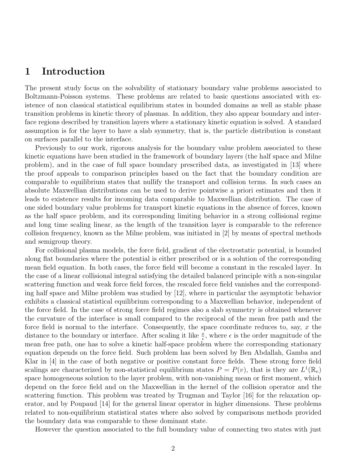### 1 Introduction

The present study focus on the solvability of stationary boundary value problems associated to Boltzmann-Poisson systems. These problems are related to basic questions associated with existence of non classical statistical equilibrium states in bounded domains as well as stable phase transition problems in kinetic theory of plasmas. In addition, they also appear boundary and interface regions described by transition layers where a stationary kinetic equation is solved. A standard assumption is for the layer to have a slab symmetry, that is, the particle distribution is constant on surfaces parallel to the interface.

Previously to our work, rigorous analysis for the boundary value problem associated to these kinetic equations have been studied in the framework of boundary layers (the half space and Milne problem), and in the case of full space boundary prescribed data, as investigated in [13] where the proof appeals to comparison principles based on the fact that the boundary condition are comparable to equilibrium states that nullify the transport and collision terms. In such cases an absolute Maxwellian distributions can be used to derive pointwise a priori estimates and then it leads to existence results for incoming data comparable to Maxwellian distribution. The case of one sided boundary value problems for transport kinetic equations in the absence of forces, known as the half space problem, and its corresponding limiting behavior in a strong collisional regime and long time scaling linear, as the length of the transition layer is comparable to the reference collision frequency, known as the Milne problem, was initiated in [2] by means of spectral methods and semigroup theory.

For collisional plasma models, the force field, gradient of the electrostatic potential, is bounded along flat boundaries where the potential is either prescribed or is a solution of the corresponding mean field equation. In both cases, the force field will become a constant in the rescaled layer. In the case of a linear collisional integral satisfying the detailed balanced principle with a non-singular scattering function and weak force field forces, the rescaled force field vanishes and the corresponding half space and Milne problem was studied by [12], where in particular the asymptotic behavior exhibits a classical statistical equilibrium corresponding to a Maxwellian behavior, independent of the force field. In the case of strong force field regimes also a slab symmetry is obtained whenever the curvature of the interface is small compared to the reciprocal of the mean free path and the force field is normal to the interface. Consequently, the space coordinate reduces to, say,  $x$  the distance to the boundary or interface. After scaling it like  $\frac{x}{\epsilon}$ , where  $\epsilon$  is the order magnitude of the mean free path, one has to solve a kinetic half-space problem where the corresponding stationary equation depends on the force field. Such problem has been solved by Ben Abdallah, Gamba and Klar in [4] in the case of both negative or positive constant force fields. These strong force field scalings are characterized by non-statistical equilibrium states  $P = P(v)$ , that is they are  $L^1(\mathbb{R}_v)$ space homogeneous solution to the layer problem, with non-vanishing mean or first moment, which depend on the force field and on the Maxwellian in the kernel of the collision operator and the scattering function. This problem was treated by Trugman and Taylor [16] for the relaxation operator, and by Poupaud [14] for the general linear operator in higher dimensions. These problems related to non-equilibrium statistical states where also solved by comparisons methods provided the boundary data was comparable to these dominant state.

However the question associated to the full boundary value of connecting two states with just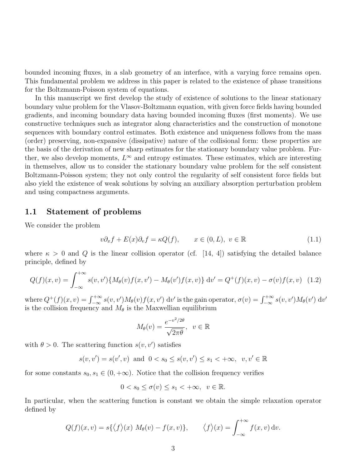bounded incoming fluxes, in a slab geometry of an interface, with a varying force remains open. This fundamental problem we address in this paper is related to the existence of phase transitions for the Boltzmann-Poisson system of equations.

In this manuscript we first develop the study of existence of solutions to the linear stationary boundary value problem for the Vlasov-Boltzmann equation, with given force fields having bounded gradients, and incoming boundary data having bounded incoming fluxes (first moments). We use constructive techniques such as integrator along characteristics and the construction of monotone sequences with boundary control estimates. Both existence and uniqueness follows from the mass (order) preserving, non-expansive (dissipative) nature of the collisional form: these properties are the basis of the derivation of new sharp estimates for the stationary boundary value problem. Further, we also develop moments,  $L^{\infty}$  and entropy estimates. These estimates, which are interesting in themselves, allow us to consider the stationary boundary value problem for the self consistent Boltzmann-Poisson system; they not only control the regularity of self consistent force fields but also yield the existence of weak solutions by solving an auxiliary absorption perturbation problem and using compactness arguments.

#### 1.1 Statement of problems

We consider the problem

$$
v\partial_x f + E(x)\partial_v f = \kappa Q(f), \qquad x \in (0, L), \ v \in \mathbb{R}
$$
\n(1.1)

where  $\kappa > 0$  and Q is the linear collision operator (cf. [14, 4]) satisfying the detailed balance principle, defined by

$$
Q(f)(x,v) = \int_{-\infty}^{+\infty} s(v,v') \{ M_{\theta}(v) f(x,v') - M_{\theta}(v') f(x,v) \} dv' = Q^+(f)(x,v) - \sigma(v) f(x,v) \quad (1.2)
$$

where  $Q^+(f)(x,v) = \int_{-\infty}^{+\infty} s(v,v')M_{\theta}(v)f(x,v') dv'$  is the gain operator,  $\sigma(v) = \int_{-\infty}^{+\infty} s(v,v')M_{\theta}(v') dv'$ is the collision frequency and  $M_{\theta}$  is the Maxwellian equilibrium

$$
M_{\theta}(v) = \frac{e^{-v^2/2\theta}}{\sqrt{2\pi\theta}}, \quad v \in \mathbb{R}
$$

with  $\theta > 0$ . The scattering function  $s(v, v')$  satisfies

$$
s(v, v') = s(v', v)
$$
 and  $0 < s_0 \le s(v, v') \le s_1 < +\infty$ ,  $v, v' \in \mathbb{R}$ 

for some constants  $s_0, s_1 \in (0, +\infty)$ . Notice that the collision frequency verifies

$$
0 < s_0 \le \sigma(v) \le s_1 < +\infty, \ v \in \mathbb{R}.
$$

In particular, when the scattering function is constant we obtain the simple relaxation operator defined by

$$
Q(f)(x,v) = s\{\langle f \rangle(x) M_{\theta}(v) - f(x,v)\}, \qquad \langle f \rangle(x) = \int_{-\infty}^{+\infty} f(x,v) \, \mathrm{d}v.
$$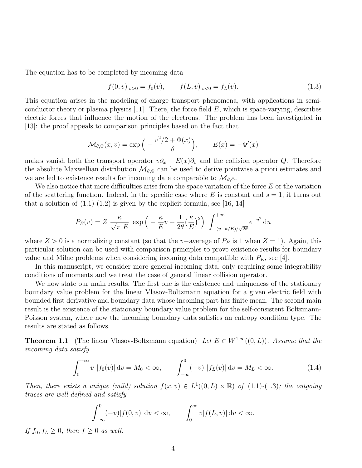The equation has to be completed by incoming data

$$
f(0, v)_{|v>0} = f_0(v), \qquad f(L, v)_{|v<0} = f_L(v). \tag{1.3}
$$

This equation arises in the modeling of charge transport phenomena, with applications in semiconductor theory or plasma physics  $[11]$ . There, the force field E, which is space-varying, describes electric forces that influence the motion of the electrons. The problem has been investigated in [13]: the proof appeals to comparison principles based on the fact that

$$
\mathcal{M}_{\theta,\Phi}(x,v) = \exp\left(-\frac{v^2/2 + \Phi(x)}{\theta}\right), \qquad E(x) = -\Phi'(x)
$$

makes vanish both the transport operator  $v\partial_x + E(x)\partial_y$  and the collision operator Q. Therefore the absolute Maxwellian distribution  $\mathcal{M}_{\theta,\Phi}$  can be used to derive pointwise a priori estimates and we are led to existence results for incoming data comparable to  $\mathcal{M}_{\theta,\Phi}$ .

We also notice that more difficulties arise from the space variation of the force  $E$  or the variation of the scattering function. Indeed, in the specific case where E is constant and  $s = 1$ , it turns out that a solution of  $(1.1)-(1.2)$  is given by the explicit formula, see [16, 14]

$$
P_E(v) = Z \frac{\kappa}{\sqrt{\pi} E} \exp\left(-\frac{\kappa}{E}v + \frac{1}{2\theta} \left(\frac{\kappa}{E}\right)^2\right) \int_{-(v-\kappa/E)/\sqrt{2\theta}}^{+\infty} e^{-u^2} du
$$

where  $Z > 0$  is a normalizing constant (so that the v-average of  $P_E$  is 1 when  $Z = 1$ ). Again, this particular solution can be used with comparison principles to prove existence results for boundary value and Milne problems when considering incoming data compatible with  $P_E$ , see [4].

In this manuscript, we consider more general incoming data, only requiring some integrability conditions of moments and we treat the case of general linear collision operator.

We now state our main results. The first one is the existence and uniqueness of the stationary boundary value problem for the linear Vlasov-Boltzmann equation for a given electric field with bounded first derivative and boundary data whose incoming part has finite mean. The second main result is the existence of the stationary boundary value problem for the self-consistent Boltzmann-Poisson system, where now the incoming boundary data satisfies an entropy condition type. The results are stated as follows.

**Theorem 1.1** (The linear Vlasov-Boltzmann equation) Let  $E \in W^{1,\infty}((0,L))$ . Assume that the incoming data satisfy

$$
\int_0^{+\infty} v |f_0(v)| dv = M_0 < \infty, \qquad \int_{-\infty}^0 (-v) |f_L(v)| dv = M_L < \infty.
$$
 (1.4)

Then, there exists a unique (mild) solution  $f(x, v) \in L^1((0, L) \times \mathbb{R})$  of (1.1)-(1.3); the outgoing traces are well-defined and satisfy

$$
\int_{-\infty}^0 (-v)|f(0,v)| \, \mathrm{d}v < \infty, \qquad \int_0^\infty v|f(L,v)| \, \mathrm{d}v < \infty.
$$

If  $f_0, f_L \geq 0$ , then  $f \geq 0$  as well.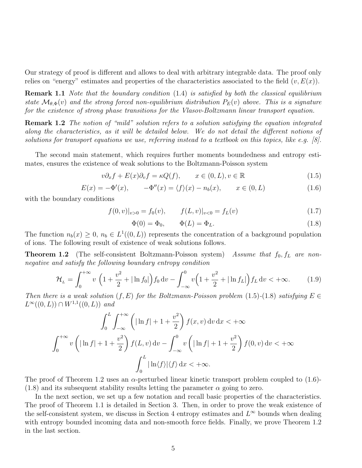Our strategy of proof is different and allows to deal with arbitrary integrable data. The proof only relies on "energy" estimates and properties of the characteristics associated to the field  $(v, E(x))$ .

**Remark 1.1** Note that the boundary condition (1.4) is satisfied by both the classical equilibrium state  $\mathcal{M}_{\theta,\Phi}(v)$  and the strong forced non-equilibrium distribution  $P_E(v)$  above. This is a signature for the existence of strong phase transitions for the Vlasov-Boltzmann linear transport equation.

Remark 1.2 The notion of "mild" solution refers to a solution satisfying the equation integrated along the characteristics, as it will be detailed below. We do not detail the different notions of solutions for transport equations we use, referring instead to a textbook on this topics, like e.g. [8].

The second main statement, which requires further moments boundedness and entropy estimates, ensures the existence of weak solutions to the Boltzmann-Poisson system

$$
v\partial_x f + E(x)\partial_v f = \kappa Q(f), \qquad x \in (0, L), v \in \mathbb{R}
$$
\n(1.5)

$$
E(x) = -\Phi'(x), \qquad -\Phi''(x) = \langle f \rangle(x) - n_b(x), \qquad x \in (0, L)
$$
\n
$$
(1.6)
$$

with the boundary conditions

$$
f(0, v)|_{v>0} = f_0(v), \qquad f(L, v)|_{v<0} = f_L(v) \tag{1.7}
$$

$$
\Phi(0) = \Phi_0, \qquad \Phi(L) = \Phi_L. \tag{1.8}
$$

The function  $n_b(x) \geq 0$ ,  $n_b \in L^1((0,L))$  represents the concentration of a background population of ions. The following result of existence of weak solutions follows.

**Theorem 1.2** (The self-consistent Boltzmann-Poisson system) Assume that  $f_0, f_L$  are nonnegative and satisfy the following boundary entropy condition

$$
\mathcal{H}_L = \int_0^{+\infty} v \left( 1 + \frac{v^2}{2} + |\ln f_0| \right) f_0 \, \mathrm{d}v - \int_{-\infty}^0 v \left( 1 + \frac{v^2}{2} + |\ln f_L| \right) f_L \, \mathrm{d}v < +\infty. \tag{1.9}
$$

Then there is a weak solution  $(f, E)$  for the Boltzmann-Poisson problem  $(1.5)-(1.8)$  satisfying  $E \in$  $L^{\infty}((0,L)) \cap W^{1,1}((0,L))$  and

$$
\int_0^L \int_{-\infty}^{+\infty} \left( |\ln f| + 1 + \frac{v^2}{2} \right) f(x, v) \, dv \, dx < +\infty
$$
\n
$$
\int_0^{+\infty} v \left( |\ln f| + 1 + \frac{v^2}{2} \right) f(L, v) \, dv - \int_{-\infty}^0 v \left( |\ln f| + 1 + \frac{v^2}{2} \right) f(0, v) \, dv < +\infty
$$
\n
$$
\int_0^L |\ln \langle f \rangle| \langle f \rangle \, dx < +\infty.
$$

The proof of Theorem 1.2 uses an  $\alpha$ -perturbed linear kinetic transport problem coupled to (1.6)- $(1.8)$  and its subsequent stability results letting the parameter  $\alpha$  going to zero.

In the next section, we set up a few notation and recall basic properties of the characteristics. The proof of Theorem 1.1 is detailed in Section 3. Then, in order to prove the weak existence of the self-consistent system, we discuss in Section 4 entropy estimates and  $L^{\infty}$  bounds when dealing with entropy bounded incoming data and non-smooth force fields. Finally, we prove Theorem 1.2 in the last section.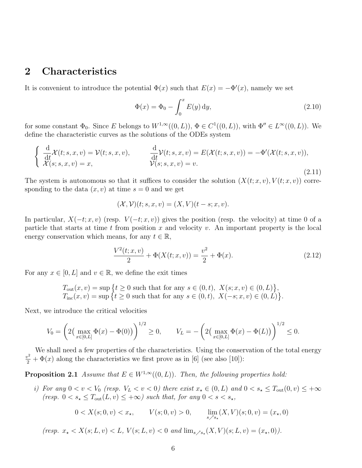## 2 Characteristics

It is convenient to introduce the potential  $\Phi(x)$  such that  $E(x) = -\Phi'(x)$ , namely we set

$$
\Phi(x) = \Phi_0 - \int_0^x E(y) \, dy,\tag{2.10}
$$

for some constant  $\Phi_0$ . Since E belongs to  $W^{1,\infty}((0,L))$ ,  $\Phi \in C^1((0,L))$ , with  $\Phi'' \in L^{\infty}((0,L))$ . We define the characteristic curves as the solutions of the ODEs system

$$
\begin{cases}\n\frac{\mathrm{d}}{\mathrm{d}t}\mathcal{X}(t;s,x,v) = \mathcal{V}(t;s,x,v), & \frac{\mathrm{d}}{\mathrm{d}t}\mathcal{V}(t;s,x,v) = E(\mathcal{X}(t;s,x,v)) = -\Phi'(\mathcal{X}(t;s,x,v)),\\ \mathcal{X}(s;s,x,v) = x, & \mathcal{V}(s;s,x,v) = v.\n\end{cases}
$$
\n(2.11)

The system is autonomous so that it suffices to consider the solution  $(X(t; x, v), V(t; x, v))$  corresponding to the data  $(x, v)$  at time  $s = 0$  and we get

$$
(\mathcal{X}, \mathcal{V})(t; s, x, v) = (X, V)(t - s; x, v).
$$

In particular,  $X(-t; x, v)$  (resp.  $V(-t; x, v)$ ) gives the position (resp. the velocity) at time 0 of a particle that starts at time t from position x and velocity v. An important property is the local energy conservation which means, for any  $t \in \mathbb{R}$ ,

$$
\frac{V^2(t;x,v)}{2} + \Phi(X(t;x,v)) = \frac{v^2}{2} + \Phi(x).
$$
\n(2.12)

For any  $x \in [0, L]$  and  $v \in \mathbb{R}$ , we define the exit times

$$
T_{\text{out}}(x, v) = \sup \{ t \ge 0 \text{ such that for any } s \in (0, t), X(s; x, v) \in (0, L) \},
$$
  

$$
T_{\text{inc}}(x, v) = \sup \{ t \ge 0 \text{ such that for any } s \in (0, t), X(-s; x, v) \in (0, L) \}.
$$

Next, we introduce the critical velocities

$$
V_0 = \left(2\left(\max_{x \in [0,L]} \Phi(x) - \Phi(0)\right)\right)^{1/2} \ge 0, \qquad V_L = -\left(2\left(\max_{x \in [0,L]} \Phi(x) - \Phi(L)\right)\right)^{1/2} \le 0.
$$

We shall need a few properties of the characteristics. Using the conservation of the total energy  $\frac{v^2}{2} + \Phi(x)$  along the characteristics we first prove as in [6] (see also [10]):

**Proposition 2.1** Assume that  $E \in W^{1,\infty}((0,L))$ . Then, the following properties hold:

i) For any  $0 < v < V_0$  (resp.  $V_L < v < 0$ ) there exist  $x_* \in (0, L)$  and  $0 < s_* \leq T_{\text{out}}(0, v) \leq +\infty$ (resp.  $0 < s_{\star} \leq T_{\text{out}}(L, v) \leq +\infty$ ) such that, for any  $0 < s < s_{\star}$ ,

$$
0 < X(s; 0, v) < x_\star, \qquad V(s; 0, v) > 0, \qquad \lim_{s \nearrow s_\star} (X, V)(s; 0, v) = (x_\star, 0)
$$

(resp.  $x_{\star} < X(s; L, v) < L$ ,  $V(s; L, v) < 0$  and  $\lim_{s \nearrow s_{\star}} (X, V)(s; L, v) = (x_{\star}, 0)$ ).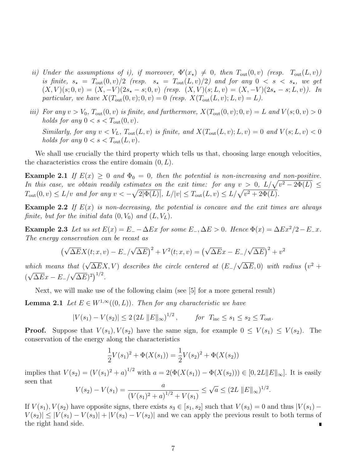- ii) Under the assumptions of i), if moreover,  $\Phi'(x_{\star}) \neq 0$ , then  $T_{\text{out}}(0, v)$  (resp.  $T_{\text{out}}(L, v)$ ) is finite,  $s_{\star} = T_{\text{out}}(0, v)/2$  (resp.  $s_{\star} = T_{\text{out}}(L, v)/2$ ) and for any  $0 < s < s_{\star}$ , we get  $(X, V)(s; 0, v) = (X, -V)(2s_{\star} - s; 0, v)$  (resp.  $(X, V)(s; L, v) = (X, -V)(2s_{\star} - s; L, v)$ ). In particular, we have  $X(T_{\text{out}}(0, v); 0, v) = 0$  (resp.  $X(T_{\text{out}}(L, v); L, v) = L$ ).
- iii) For any  $v > V_0$ ,  $T_{\text{out}}(0, v)$  is finite, and furthermore,  $X(T_{\text{out}}(0, v); 0, v) = L$  and  $V(s; 0, v) > 0$ holds for any  $0 < s < T_{\text{out}}(0, v)$ .

Similarly, for any  $v < V_L$ ,  $T_{\text{out}}(L, v)$  is finite, and  $X(T_{\text{out}}(L, v); L, v) = 0$  and  $V(s; L, v) < 0$ holds for any  $0 < s < T_{\text{out}}(L, v)$ .

We shall use crucially the third property which tells us that, choosing large enough velocities, the characteristics cross the entire domain  $(0, L)$ .

**Example 2.1** If  $E(x) \ge 0$  and  $\Phi_0 = 0$ , then the potential is non-increasing and non-positive. In this case, we obtain readily estimates on the exit time: for any  $v > 0$ ,  $L/\sqrt{v^2 - 2\Phi(L)} \le$  $T_{\text{out}}(0, v) \le L/v$  and for any  $v < -\sqrt{2|\Phi(L)|}, L/|v| \le T_{\text{out}}(L, v) \le L/\sqrt{v^2 + 2\Phi(L)}$ .

**Example 2.2** If  $E(x)$  is non-decreasing, the potential is concave and the exit times are always finite, but for the initial data  $(0, V_0)$  and  $(L, V_L)$ .

Example 2.3 Let us set  $E(x) = E_-\Delta Ex$  for some  $E_-, \Delta E > 0$ . Hence  $\Phi(x) = \Delta Ex^2/2 - E_+x$ . The energy conservation can be recast as

$$
\left(\sqrt{\Delta E}X(t;x,v) - E_{-}/\sqrt{\Delta E}\right)^{2} + V^{2}(t;x,v) = \left(\sqrt{\Delta E}x - E_{-}/\sqrt{\Delta E}\right)^{2} + v^{2}
$$

which means that (  $\Delta EX, V$ ) describes the circle centered at  $(E_{-}/E_{-})$  $\overline{\Delta E}$ , 0) with radius  $(v^2 +$ ( √  $\Delta Ex - E_{-}/$ √  $\overline{\Delta E})^2\big)^{1/2}.$ 

Next, we will make use of the following claim (see [5] for a more general result)

**Lemma 2.1** Let  $E \in W^{1,\infty}((0,L))$ . Then for any characteristic we have

$$
|V(s_1) - V(s_2)| \leq 2(2L ||E||_{\infty})^{1/2}
$$
, for  $T_{\text{inc}} \leq s_1 \leq s_2 \leq T_{\text{out}}$ .

**Proof.** Suppose that  $V(s_1)$ ,  $V(s_2)$  have the same sign, for example  $0 \leq V(s_1) \leq V(s_2)$ . The conservation of the energy along the characteristics

$$
\frac{1}{2}V(s_1)^2 + \Phi(X(s_1)) = \frac{1}{2}V(s_2)^2 + \Phi(X(s_2))
$$

implies that  $V(s_2) = (V(s_1)^2 + a)^{1/2}$  with  $a = 2(\Phi(X(s_1)) - \Phi(X(s_2))) \in [0, 2L||E||_{\infty}]$ . It is easily seen that √

$$
V(s_2) - V(s_1) = \frac{a}{(V(s_1)^2 + a)^{1/2} + V(s_1)} \le \sqrt{a} \le (2L \|E\|_{\infty})^{1/2}.
$$

If  $V(s_1)$ ,  $V(s_2)$  have opposite signs, there exists  $s_3 \in [s_1, s_2]$  such that  $V(s_3) = 0$  and thus  $|V(s_1) |V(s_2)| \leq |V(s_1) - V(s_3)| + |V(s_3) - V(s_2)|$  and we can apply the previous result to both terms of the right hand side.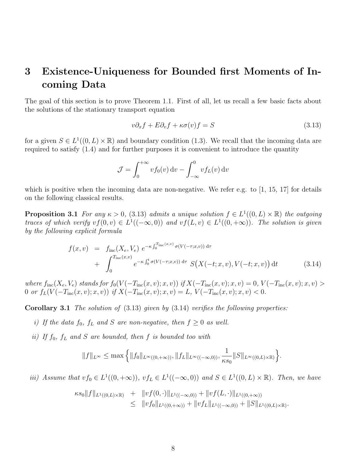# 3 Existence-Uniqueness for Bounded first Moments of Incoming Data

The goal of this section is to prove Theorem 1.1. First of all, let us recall a few basic facts about the solutions of the stationary transport equation

$$
v\partial_x f + E\partial_v f + \kappa \sigma(v) f = S \tag{3.13}
$$

for a given  $S \in L^1((0,L) \times \mathbb{R})$  and boundary condition (1.3). We recall that the incoming data are required to satisfy (1.4) and for further purposes it is convenient to introduce the quantity

$$
\mathcal{J} = \int_0^{+\infty} v f_0(v) \, \mathrm{d}v - \int_{-\infty}^0 v f_L(v) \, \mathrm{d}v
$$

which is positive when the incoming data are non-negative. We refer e.g. to  $[1, 15, 17]$  for details on the following classical results.

**Proposition 3.1** For any  $\kappa > 0$ , (3.13) admits a unique solution  $f \in L^1((0,L) \times \mathbb{R})$  the outgoing traces of which verify  $vf(0, v) \in L^1((-\infty, 0))$  and  $vf(L, v) \in L^1((0, +\infty))$ . The solution is given by the following explicit formula

$$
f(x, v) = f_{\text{inc}}(X_e, V_e) e^{-\kappa \int_0^{T_{\text{inc}}(x, v)} \sigma(V(-\tau; x, v)) d\tau} + \int_0^{T_{\text{inc}}(x, v)} e^{-\kappa \int_0^t \sigma(V(-\tau; x, v)) d\tau} S(X(-t; x, v), V(-t; x, v)) dt \qquad (3.14)
$$

where  $f_{inc}(X_e, V_e)$  stands for  $f_0(V(-T_{inc}(x, v); x, v))$  if  $X(-T_{inc}(x, v); x, v) = 0, V(-T_{inc}(x, v); x, v) >$ 0 or  $f_L(V(-T_{\text{inc}}(x, v); x, v))$  if  $X(-T_{\text{inc}}(x, v); x, v) = L$ ,  $V(-T_{\text{inc}}(x, v); x, v) < 0$ .

**Corollary 3.1** The solution of  $(3.13)$  given by  $(3.14)$  verifies the following properties:

- i) If the data  $f_0$ ,  $f_L$  and S are non-negative, then  $f \geq 0$  as well.
- ii) If  $f_0$ ,  $f_L$  and S are bounded, then f is bounded too with

$$
||f||_{L^{\infty}} \leq \max \left\{ ||f_0||_{L^{\infty}((0,+\infty))}, ||f_L||_{L^{\infty}((-\infty,0))}, \frac{1}{\kappa s_0} ||S||_{L^{\infty}((0,L)\times \mathbb{R})} \right\}.
$$

iii) Assume that  $vf_0 \in L^1((0, +\infty))$ ,  $vf_L \in L^1((-\infty, 0))$  and  $S \in L^1((0, L) \times \mathbb{R})$ . Then, we have

$$
\kappa s_0 \|f\|_{L^1((0,L)\times\mathbb{R})} + \|vf(0,\cdot)\|_{L^1((-\infty,0))} + \|vf(L,\cdot)\|_{L^1((0,+\infty))}
$$
  
\n
$$
\leq \|vf_0\|_{L^1((0,+\infty))} + \|vf_L\|_{L^1((-\infty,0))} + \|S\|_{L^1((0,L)\times\mathbb{R})}.
$$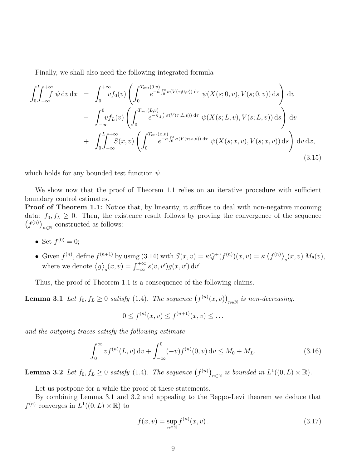Finally, we shall also need the following integrated formula

$$
\int_{0}^{L} \int_{-\infty}^{+\infty} \psi \, dv \, dx = \int_{0}^{+\infty} v f_{0}(v) \left( \int_{0}^{T_{\text{out}}(0,v)} e^{-\kappa \int_{0}^{s} \sigma(V(\tau;0,v)) d\tau} \psi(X(s;0,v),V(s;0,v)) ds \right) dv \n- \int_{-\infty}^{0} v f_{L}(v) \left( \int_{0}^{T_{\text{out}}(L,v)} e^{-\kappa \int_{0}^{s} \sigma(V(\tau;L,v)) d\tau} \psi(X(s;L,v),V(s;L,v)) ds \right) dv \n+ \int_{0}^{L} \int_{-\infty}^{+\infty} S(x,v) \left( \int_{0}^{T_{\text{out}}(x,v)} e^{-\kappa \int_{0}^{s} \sigma(V(\tau;x,v)) d\tau} \psi(X(s;x,v),V(s;x,v)) ds \right) dv dx,
$$
\n(3.15)

which holds for any bounded test function  $\psi$ .

We show now that the proof of Theorem 1.1 relies on an iterative procedure with sufficient boundary control estimates.

Proof of Theorem 1.1: Notice that, by linearity, it suffices to deal with non-negative incoming data:  $f_0, f_L \geq 0$ . Then, the existence result follows by proving the convergence of the sequence  $(f^{(n)})_{n\in\mathbb{N}}$  constructed as follows:

- Set  $f^{(0)} = 0$ ;
- Given  $f^{(n)}$ , define  $f^{(n+1)}$  by using (3.14) with  $S(x, v) = \kappa Q^+(f^{(n)})(x, v) = \kappa \langle f^{(n)} \rangle_s(x, v) M_\theta(v)$ , where we denote  $\langle g \rangle_s(x, v) = \int_{-\infty}^{+\infty} s(v, v') g(x, v') dv'.$

Thus, the proof of Theorem 1.1 is a consequence of the following claims.

**Lemma 3.1** Let  $f_0, f_L \ge 0$  satisfy (1.4). The sequence  $(f^{(n)}(x, v))_{n \in \mathbb{N}}$  is non-decreasing:

$$
0 \le f^{(n)}(x, v) \le f^{(n+1)}(x, v) \le \dots
$$

and the outgoing traces satisfy the following estimate

$$
\int_0^\infty v f^{(n)}(L, v) dv + \int_{-\infty}^0 (-v) f^{(n)}(0, v) dv \le M_0 + M_L.
$$
 (3.16)

**Lemma 3.2** Let  $f_0, f_L \geq 0$  satisfy (1.4). The sequence  $(f^{(n)})_{n \in \mathbb{N}}$  is bounded in  $L^1((0, L) \times \mathbb{R})$ .

Let us postpone for a while the proof of these statements.

By combining Lemma 3.1 and 3.2 and appealing to the Beppo-Levi theorem we deduce that  $f^{(n)}$  converges in  $L^1((0,L)\times\mathbb{R})$  to

$$
f(x,v) = \sup_{n \in \mathbb{N}} f^{(n)}(x,v).
$$
 (3.17)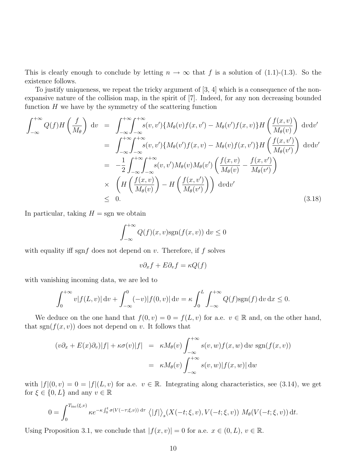This is clearly enough to conclude by letting  $n \to \infty$  that f is a solution of (1.1)-(1.3). So the existence follows.

To justify uniqueness, we repeat the tricky argument of [3, 4] which is a consequence of the nonexpansive nature of the collision map, in the spirit of [7]. Indeed, for any non decreasing bounded function  $H$  we have by the symmetry of the scattering function

$$
\int_{-\infty}^{+\infty} Q(f)H\left(\frac{f}{M_{\theta}}\right) dv = \int_{-\infty}^{+\infty} \int_{-\infty}^{+\infty} s(v,v')\{M_{\theta}(v)f(x,v') - M_{\theta}(v')f(x,v)\}H\left(\frac{f(x,v)}{M_{\theta}(v)}\right) dvdv'
$$
  
\n
$$
= \int_{-\infty}^{+\infty} \int_{-\infty}^{+\infty} s(v,v')\{M_{\theta}(v')f(x,v) - M_{\theta}(v)f(x,v')\}H\left(\frac{f(x,v')}{M_{\theta}(v')}\right) dvdv'
$$
  
\n
$$
= -\frac{1}{2} \int_{-\infty}^{+\infty} \int_{-\infty}^{+\infty} s(v,v')M_{\theta}(v)M_{\theta}(v')\left(\frac{f(x,v)}{M_{\theta}(v)} - \frac{f(x,v')}{M_{\theta}(v')}\right)
$$
  
\n
$$
\times \left(H\left(\frac{f(x,v)}{M_{\theta}(v)}\right) - H\left(\frac{f(x,v')}{M_{\theta}(v')}\right)\right) dvdv'
$$
  
\n
$$
\leq 0.
$$
\n(3.18)

In particular, taking  $H = \text{sgn}$  we obtain

$$
\int_{-\infty}^{+\infty} Q(f)(x, v) \operatorname{sgn}(f(x, v)) \, \mathrm{d}v \le 0
$$

with equality iff sgnf does not depend on  $v$ . Therefore, if  $f$  solves

$$
v\partial_x f + E\partial_v f = \kappa Q(f)
$$

with vanishing incoming data, we are led to

$$
\int_0^{+\infty} v|f(L,v)| \, \mathrm{d}v + \int_{-\infty}^0 (-v)|f(0,v)| \, \mathrm{d}v = \kappa \int_0^L \int_{-\infty}^{+\infty} Q(f) \mathrm{sgn}(f) \, \mathrm{d}v \, \mathrm{d}x \le 0.
$$

We deduce on the one hand that  $f(0, v) = 0 = f(L, v)$  for a.e.  $v \in \mathbb{R}$  and, on the other hand, that sgn $(f(x, v))$  does not depend on v. It follows that

$$
(v\partial_x + E(x)\partial_v)|f| + \kappa \sigma(v)|f| = \kappa M_\theta(v) \int_{-\infty}^{+\infty} s(v, w) f(x, w) dw \operatorname{sgn}(f(x, v))
$$
  
=  $\kappa M_\theta(v) \int_{-\infty}^{+\infty} s(v, w) |f(x, w)| dw$ 

with  $|f|(0, v) = 0 = |f|(L, v)$  for a.e.  $v \in \mathbb{R}$ . Integrating along characteristics, see (3.14), we get for  $\xi \in \{0, L\}$  and any  $v \in \mathbb{R}$ 

$$
0 = \int_0^{T_{\text{inc}}(\xi, v)} \kappa e^{-\kappa \int_0^t \sigma(V(-\tau; \xi, v)) d\tau} \left\langle |f| \right\rangle_s (X(-t; \xi, v), V(-t; \xi, v)) M_\theta(V(-t; \xi, v)) dt.
$$

Using Proposition 3.1, we conclude that  $|f(x, v)| = 0$  for a.e.  $x \in (0, L)$ ,  $v \in \mathbb{R}$ .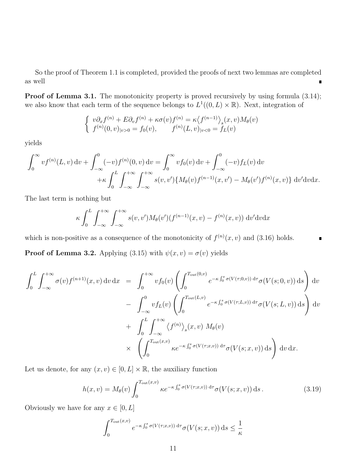So the proof of Theorem 1.1 is completed, provided the proofs of next two lemmas are completed as well

Proof of Lemma 3.1. The monotonicity property is proved recursively by using formula  $(3.14)$ ; we also know that each term of the sequence belongs to  $L^1((0,L)\times\mathbb{R})$ . Next, integration of

$$
\begin{cases}\nv \partial_x f^{(n)} + E \partial_v f^{(n)} + \kappa \sigma(v) f^{(n)} = \kappa \langle f^{(n-1)} \rangle_s(x, v) M_\theta(v) \\
f^{(n)}(0, v)_{|v > 0} = f_0(v), \qquad f^{(n)}(L, v)_{|v < 0} = f_L(v)\n\end{cases}
$$

yields

$$
\int_0^{\infty} v f^{(n)}(L, v) dv + \int_{-\infty}^0 (-v) f^{(n)}(0, v) dv = \int_0^{\infty} v f_0(v) dv + \int_{-\infty}^0 (-v) f_L(v) dv \n+ \kappa \int_0^L \int_{-\infty}^{+\infty} \int_{-\infty}^{+\infty} s(v, v') \{ M_\theta(v) f^{(n-1)}(x, v') - M_\theta(v') f^{(n)}(x, v) \} dv' dv dx.
$$

The last term is nothing but

$$
\kappa \int_0^L \int_{-\infty}^{+\infty} \int_{-\infty}^{+\infty} s(v, v') M_{\theta}(v') (f^{(n-1)}(x, v) - f^{(n)}(x, v)) dv' dv dx
$$

which is non-positive as a consequence of the monotonicity of  $f^{(n)}(x, v)$  and (3.16) holds.

**Proof of Lemma 3.2.** Applying (3.15) with  $\psi(x, v) = \sigma(v)$  yields

$$
\int_{0}^{L} \int_{-\infty}^{+\infty} \sigma(v) f^{(n+1)}(x, v) dv dx = \int_{0}^{+\infty} v f_{0}(v) \left( \int_{0}^{T_{\text{out}}(0, v)} e^{-\kappa \int_{0}^{s} \sigma(V(\tau; 0, v)) d\tau} \sigma(V(s; 0, v)) ds \right) dv \n- \int_{-\infty}^{0} v f_{L}(v) \left( \int_{0}^{T_{\text{out}}(L, v)} e^{-\kappa \int_{0}^{s} \sigma(V(\tau; L, v)) d\tau} \sigma(V(s; L, v)) ds \right) dv \n+ \int_{0}^{L} \int_{-\infty}^{+\infty} \langle f^{(n)} \rangle_{s}(x, v) M_{\theta}(v) \n\times \left( \int_{0}^{T_{\text{out}}(x, v)} \kappa e^{-\kappa \int_{0}^{s} \sigma(V(\tau; x, v)) d\tau} \sigma(V(s; x, v)) ds \right) dv dx.
$$

Let us denote, for any  $(x, v) \in [0, L] \times \mathbb{R}$ , the auxiliary function

$$
h(x,v) = M_{\theta}(v) \int_0^{T_{\text{out}}(x,v)} \kappa e^{-\kappa \int_0^s \sigma(V(\tau;x,v)) d\tau} \sigma(V(s;x,v)) ds.
$$
 (3.19)

Obviously we have for any  $x \in [0, L]$ 

$$
\int_0^{T_{\text{out}}(x,v)} e^{-\kappa \int_0^s \sigma(V(\tau;x,v)) d\tau} \sigma(V(s;x,v)) ds \leq \frac{1}{\kappa}
$$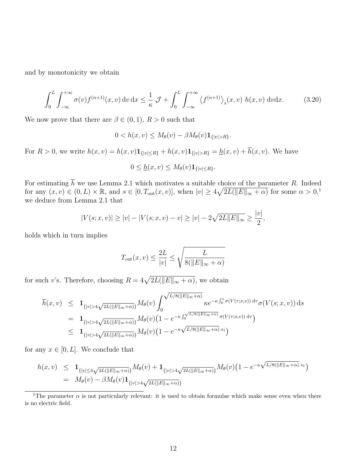and by monotonicity we obtain

$$
\int_0^L \int_{-\infty}^{+\infty} \sigma(v) f^{(n+1)}(x, v) dv dx \le \frac{1}{\kappa} \mathcal{J} + \int_0^L \int_{-\infty}^{+\infty} \left\langle f^{(n+1)} \right\rangle_s (x, v) h(x, v) dv dx.
$$
 (3.20)

We now prove that there are  $\beta \in (0,1)$ ,  $R > 0$  such that

$$
0 < h(x, v) \leq M_{\theta}(v) - \beta M_{\theta}(v) \mathbf{1}_{\{|v| > R\}}.
$$

For  $R > 0$ , we write  $h(x, v) = h(x, v) \mathbf{1}_{\{|v| \le R\}} + h(x, v) \mathbf{1}_{\{|v| > R\}} = \underline{h}(x, v) + \overline{h}(x, v)$ . We have

$$
0 \leq \underline{h}(x,v) \leq M_{\theta}(v) \mathbf{1}_{\{|v| \leq R\}}.
$$

For estimating  $\overline{h}$  we use Lemma 2.1 which motivates a suitable choice of the parameter R. Indeed for any  $(x, v) \in (0, L) \times \mathbb{R}$ , and  $s \in [0, T_{out}(x, v)]$ , when  $|v| \geq 4\sqrt{2L(||E||_{\infty} + \alpha)}$  for some  $\alpha > 0$ ,<sup>1</sup> we deduce from Lemma 2.1 that

$$
|V(s; x, v)| \ge |v| - |V(s; x, v) - v| \ge |v| - 2\sqrt{2L||E||_{\infty}} \ge \frac{|v|}{2},
$$

holds which in turn implies

$$
T_{\text{out}}(x, v) \le \frac{2L}{|v|} \le \sqrt{\frac{L}{8(||E||_{\infty} + \alpha)}}
$$

for such v's. Therefore, choosing  $R = 4\sqrt{2L(||E||_{\infty} + \alpha)}$ , we obtain

$$
\overline{h}(x,v) \leq \mathbf{1}_{\{|v|>4\sqrt{2L(\|E\|_{\infty}+\alpha)}}} M_{\theta}(v) \int_{0}^{\sqrt{L/8(\|E\|_{\infty}+\alpha)}} \kappa e^{-\kappa \int_{0}^{s} \sigma(V(\tau;x,v)) d\tau} \sigma(V(s;x,v)) ds \n= \mathbf{1}_{\{|v|>4\sqrt{2L(\|E\|_{\infty}+\alpha)}}} M_{\theta}(v) \left(1 - e^{-\kappa \int_{0}^{\sqrt{L/8(\|E\|_{\infty}+\alpha)}} \sigma(V(\tau;x,v)) d\tau}\right) \n\leq \mathbf{1}_{\{|v|>4\sqrt{2L(\|E\|_{\infty}+\alpha)}}} M_{\theta}(v) \left(1 - e^{-\kappa \sqrt{L/8(\|E\|_{\infty}+\alpha)}} s_1\right)
$$

for any  $x \in [0, L]$ . We conclude that

$$
h(x,v) \leq \mathbf{1}_{\{|v| \leq 4\sqrt{2L(||E||_{\infty}+\alpha)}}} M_{\theta}(v) + \mathbf{1}_{\{|v| > 4\sqrt{2L(||E||_{\infty}+\alpha)}}} M_{\theta}(v) (1 - e^{-\kappa \sqrt{L/8(||E||_{\infty}+\alpha)}} s_1)
$$
  
= 
$$
M_{\theta}(v) - \beta M_{\theta}(v) \mathbf{1}_{\{|v| > 4\sqrt{2L(||E||_{\infty}+\alpha)}}}
$$

<sup>&</sup>lt;sup>1</sup>The parameter  $\alpha$  is not particularly relevant: it is used to obtain formulae which make sense even when there is no electric field.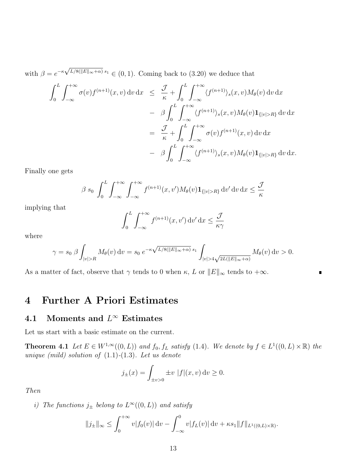with  $\beta = e^{-\kappa} \sqrt{\frac{\mu}{\kappa}}$  $L/8(\Vert E \Vert_{\infty} + \alpha) s_1 \in (0,1)$ . Coming back to  $(3.20)$  we deduce that

$$
\int_{0}^{L} \int_{-\infty}^{+\infty} \sigma(v) f^{(n+1)}(x, v) dv dx \leq \frac{\mathcal{J}}{\kappa} + \int_{0}^{L} \int_{-\infty}^{+\infty} \langle f^{(n+1)} \rangle_{s}(x, v) M_{\theta}(v) dv dx \n= \frac{\beta \int_{0}^{L} \int_{-\infty}^{+\infty} \langle f^{(n+1)} \rangle_{s}(x, v) M_{\theta}(v) \mathbf{1}_{\{|v| > R\}} dv dx \n= \frac{\mathcal{J}}{\kappa} + \int_{0}^{L} \int_{-\infty}^{+\infty} \sigma(v) f^{(n+1)}(x, v) dv dx \n= \frac{\beta \int_{0}^{L} \int_{-\infty}^{+\infty} \langle f^{(n+1)} \rangle_{s}(x, v) M_{\theta}(v) \mathbf{1}_{\{|v| > R\}} dv dx.
$$

Finally one gets

$$
\beta s_0 \int_0^L \int_{-\infty}^{+\infty} \int_{-\infty}^{+\infty} f^{(n+1)}(x, v') M_\theta(v) \mathbf{1}_{\{|v| > R\}} dv' dv dx \le \frac{\mathcal{J}}{\kappa}
$$

implying that

$$
\int_0^L \int_{-\infty}^{+\infty} f^{(n+1)}(x, v') \, \mathrm{d}v' \, \mathrm{d}x \le \frac{\mathcal{J}}{\kappa \gamma}
$$

where

$$
\gamma = s_0 \beta \int_{|v|>R} M_{\theta}(v) dv = s_0 e^{-\kappa \sqrt{L/8(||E||_{\infty}+\alpha)}} s_1 \int_{|v|>4\sqrt{2L(||E||_{\infty}+\alpha)}} M_{\theta}(v) dv > 0.
$$

 $\blacksquare$ 

As a matter of fact, observe that  $\gamma$  tends to 0 when  $\kappa$ , L or  $||E||_{\infty}$  tends to  $+\infty$ .

## 4 Further A Priori Estimates

### 4.1 Moments and  $L^{\infty}$  Estimates

Let us start with a basic estimate on the current.

**Theorem 4.1** Let  $E \in W^{1,\infty}((0,L))$  and  $f_0, f_L$  satisfy (1.4). We denote by  $f \in L^1((0,L) \times \mathbb{R})$  the unique (mild) solution of  $(1.1)-(1.3)$ . Let us denote

$$
j_{\pm}(x) = \int_{\pm v>0} \pm v \, |f|(x,v) \, \mathrm{d}v \ge 0.
$$

Then

i) The functions  $j_{\pm}$  belong to  $L^{\infty}((0,L))$  and satisfy

$$
||j_{\pm}||_{\infty} \leq \int_0^{+\infty} v|f_0(v)| dv - \int_{-\infty}^0 v|f_L(v)| dv + \kappa s_1 ||f||_{L^1((0,L)\times \mathbb{R})}.
$$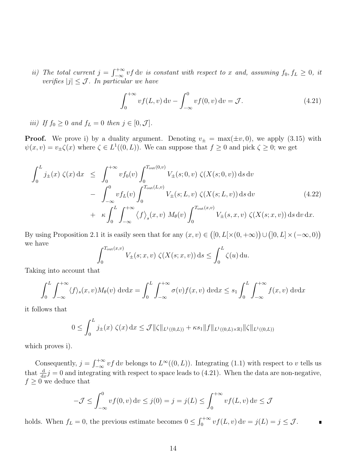ii) The total current  $j = \int_{-\infty}^{+\infty} vf \, dv$  is constant with respect to x and, assuming  $f_0, f_L \geq 0$ , it verifies  $|j| \leq J$ . In particular we have

$$
\int_0^{+\infty} v f(L, v) dv - \int_{-\infty}^0 v f(0, v) dv = \mathcal{J}.
$$
 (4.21)

iii) If  $f_0 \geq 0$  and  $f_L = 0$  then  $j \in [0, \mathcal{J}]$ .

**Proof.** We prove i) by a duality argument. Denoting  $v_{\pm} = \max(\pm v, 0)$ , we apply (3.15) with  $\psi(x, v) = v_{\pm} \zeta(x)$  where  $\zeta \in L^1((0, L))$ . We can suppose that  $f \geq 0$  and pick  $\zeta \geq 0$ ; we get

$$
\int_0^L j_{\pm}(x) \zeta(x) dx \leq \int_0^{+\infty} v f_0(v) \int_0^{T_{\text{out}}(0,v)} V_{\pm}(s;0,v) \zeta(X(s;0,v)) ds dv \n- \int_{-\infty}^0 v f_L(v) \int_0^{T_{\text{out}}(L,v)} V_{\pm}(s;L,v) \zeta(X(s;L,v)) ds dv \n+ \kappa \int_0^L \int_{-\infty}^{+\infty} \langle f \rangle_s(x,v) M_{\theta}(v) \int_0^{T_{\text{out}}(x,v)} V_{\pm}(s,x,v) \zeta(X(s;x,v)) ds dv dx.
$$
\n(4.22)

By using Proposition 2.1 it is easily seen that for any  $(x, v) \in (0, L[ \times (0, +\infty)) \cup (0, L] \times (-\infty, 0))$ we have

$$
\int_0^{T_{\text{out}}(x,v)} V_{\pm}(s;x,v) \zeta(X(s;x,v)) \, \mathrm{d}s \le \int_0^L \zeta(u) \, \mathrm{d}u.
$$

Taking into account that

$$
\int_0^L \int_{-\infty}^{+\infty} \langle f \rangle_s(x,v) M_\theta(v) \, dv dx = \int_0^L \int_{-\infty}^{+\infty} \sigma(v) f(x,v) \, dv dx \leq s_1 \int_0^L \int_{-\infty}^{+\infty} f(x,v) \, dv dx
$$

it follows that

$$
0 \leq \int_0^L j_{\pm}(x) \zeta(x) dx \leq \mathcal{J} \|\zeta\|_{L^1((0,L))} + \kappa s_1 \|f\|_{L^1((0,L)\times \mathbb{R})} \|\zeta\|_{L^1((0,L))}
$$

which proves i).

Consequently,  $j = \int_{-\infty}^{+\infty} vf \, dv$  belongs to  $L^{\infty}((0, L))$ . Integrating (1.1) with respect to v tells us that  $\frac{d}{dx}j = 0$  and integrating with respect to space leads to (4.21). When the data are non-negative,  $f \geq 0$  we deduce that

$$
-\mathcal{J} \le \int_{-\infty}^{0} vf(0, v) dv \le j(0) = j = j(L) \le \int_{0}^{+\infty} vf(L, v) dv \le \mathcal{J}
$$

holds. When  $f_L = 0$ , the previous estimate becomes  $0 \leq \int_0^{+\infty} v f(L, v) dv = j(L) = j \leq J$ .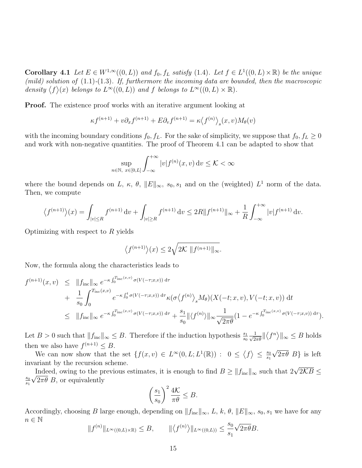**Corollary 4.1** Let  $E \in W^{1,\infty}((0,L))$  and  $f_0, f_L$  satisfy  $(1.4)$ . Let  $f \in L^1((0,L) \times \mathbb{R})$  be the unique (mild) solution of  $(1.1)-(1.3)$ . If, furthermore the incoming data are bounded, then the macroscopic density  $\langle f \rangle(x)$  belongs to  $L^{\infty}((0,L))$  and f belongs to  $L^{\infty}((0,L) \times \mathbb{R})$ .

**Proof.** The existence proof works with an iterative argument looking at

$$
\kappa f^{(n+1)} + v \partial_x f^{(n+1)} + E \partial_v f^{(n+1)} = \kappa \langle f^{(n)} \rangle_s(x, v) M_\theta(v)
$$

with the incoming boundary conditions  $f_0, f_L$ . For the sake of simplicity, we suppose that  $f_0, f_L \geq 0$ and work with non-negative quantities. The proof of Theorem 4.1 can be adapted to show that

$$
\sup_{n \in \mathbb{N}, x \in [0,L]} \int_{-\infty}^{+\infty} |v| f^{(n)}(x,v) \, \mathrm{d}v \le \mathcal{K} < \infty
$$

where the bound depends on L,  $\kappa$ ,  $\theta$ ,  $||E||_{\infty}$ ,  $s_0$ ,  $s_1$  and on the (weighted)  $L^1$  norm of the data. Then, we compute

$$
\langle f^{(n+1)} \rangle(x) = \int_{|v| \le R} f^{(n+1)} \, dv + \int_{|v| \ge R} f^{(n+1)} \, dv \le 2R \|f^{(n+1)}\|_{\infty} + \frac{1}{R} \int_{-\infty}^{+\infty} |v| f^{(n+1)} \, dv.
$$

Optimizing with respect to  $R$  yields

$$
\langle f^{(n+1)} \rangle(x) \le 2\sqrt{2\mathcal{K} \|f^{(n+1)}\|_{\infty}}.
$$

Now, the formula along the characteristics leads to

$$
f^{(n+1)}(x,v) \leq \|f_{\text{inc}}\|_{\infty} e^{-\kappa \int_0^{T_{\text{inc}}(x,v)} \sigma(V(-\tau;x,v)) d\tau} + \frac{1}{s_0} \int_0^{T_{\text{inc}}(x,v)} e^{-\kappa \int_0^t \sigma(V(-\tau;x,v)) d\tau} \kappa(\sigma \langle f^{(n)} \rangle_s M_\theta) (X(-t;x,v), V(-t;x,v)) dt
$$
  

$$
\leq \|f_{\text{inc}}\|_{\infty} e^{-\kappa \int_0^{T_{\text{inc}}(x,v)} \sigma(V(-\tau;x,v)) d\tau} + \frac{s_1}{s_0} \|\langle f^{(n)} \rangle\|_{\infty} \frac{1}{\sqrt{2\pi\theta}} (1 - e^{-\kappa \int_0^{T_{\text{inc}}(x,v)} \sigma(V(-\tau;x,v)) d\tau}).
$$

Let  $B > 0$  such that  $||f_{\text{inc}}||_{\infty} \leq B$ . Therefore if the induction hypothesis  $\frac{s_1}{s_0} \frac{1}{\sqrt{2\pi\theta}} ||\langle f^n \rangle||_{\infty} \leq B$  holds then we also have  $f^{(n+1)} \leq B$ . √

We can now show that the set  $\{f(x,v) \in L^{\infty}(0,L;L^{1}(\mathbb{R})) : 0 \leq \langle f \rangle \leq \frac{s_0}{s_1}$  $s_1$  $2\pi\theta$  B is left invariant by the recursion scheme.

Variant by the recursion scheme.<br>Indeed, owing to the previous estimates, it is enough to find  $B \ge ||f_{\text{inc}}||_{\infty}$  such that  $2\sqrt{2KB} \le \sqrt{16}$  $s_0$  $\frac{s_0}{s_1}\sqrt{2\pi\theta} B$ , or equivalently

$$
\left(\frac{s_1}{s_0}\right)^2 \frac{4\mathcal{K}}{\pi\theta} \le B.
$$

Accordingly, choosing B large enough, depending on  $||f_{inc}||_{\infty}$ , L, k,  $\theta$ ,  $||E||_{\infty}$ , s<sub>0</sub>, s<sub>1</sub> we have for any  $n \in \mathbb{N}$  $s_0$ √

$$
||f^{(n)}||_{L^{\infty}((0,L)\times\mathbb{R})}\leq B, \qquad ||\langle f^{(n)}\rangle||_{L^{\infty}((0,L))}\leq \frac{s_0}{s_1}\sqrt{2\pi\theta}B.
$$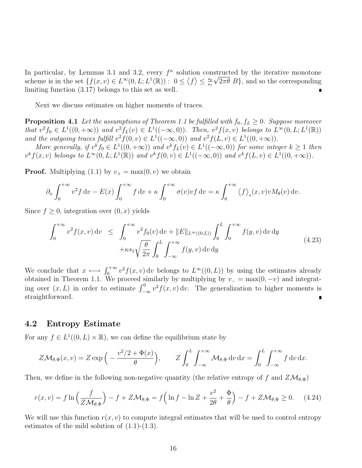In particular, by Lemmas 3.1 and 3.2, every  $f^n$  solution constructed by the iterative monotone scheme is in the set  $\{f(x,v) \in L^{\infty}(0,L;L^{1}(\mathbb{R})) : 0 \leq \langle f \rangle \leq \frac{s_0}{s_1}$  $\frac{s_0}{s_1}\sqrt{2\pi\theta} B$ , and so the corresponding limiting function (3.17) belongs to this set as well.

Next we discuss estimates on higher moments of traces.

**Proposition 4.1** Let the assumptions of Theorem 1.1 be fulfilled with  $f_0, f_L \geq 0$ . Suppose moreover that  $v^2 f_0 \in L^1((0, +\infty))$  and  $v^2 f_L(v) \in L^1((-\infty, 0))$ . Then,  $v^2 f(x, v)$  belongs to  $L^{\infty}(0, L; L^1(\mathbb{R}))$ and the outgoing traces fulfill  $v^2 f(0, v) \in L^1((-\infty, 0))$  and  $v^2 f(L, v) \in L^1((0, +\infty))$ .

More generally, if  $v^k f_0 \in L^1((0, +\infty))$  and  $v^k f_0(v) \in L^1((-\infty, 0))$  for some integer  $k \geq 1$  then  $v^k f(x, v)$  belongs to  $L^{\infty}(0, L; L^1(\mathbb{R}))$  and  $v^k f(0, v) \in L^1((-\infty, 0))$  and  $v^k f(L, v) \in L^1((0, +\infty))$ .

**Proof.** Multiplying (1.1) by  $v_+ = \max(0, v)$  we obtain

$$
\partial_x \int_0^{+\infty} v^2 f \, dv - E(x) \int_0^{+\infty} f \, dv + \kappa \int_0^{+\infty} \sigma(v) v f \, dv = \kappa \int_0^{+\infty} \langle f \rangle_s(x, v) v M_\theta(v) \, dv.
$$

Since  $f \geq 0$ , integration over  $(0, x)$  yields

$$
\int_0^{+\infty} v^2 f(x, v) dv \leq \int_0^{+\infty} v^2 f_0(v) dv + ||E||_{L^{\infty}((0, L))} \int_0^L \int_0^{+\infty} f(y, v) dv dy \n+ \kappa s_1 \sqrt{\frac{\theta}{2\pi}} \int_0^L \int_{-\infty}^{+\infty} f(y, v) dv dy
$$
\n(4.23)

We conclude that  $x \mapsto \int_0^{+\infty} v^2 f(x, v) dv$  belongs to  $L^{\infty}((0, L))$  by using the estimates already obtained in Theorem 1.1. We proceed similarly by multiplying by  $v_-=\max(0,-v)$  and integrating over  $(x, L)$  in order to estimate  $\int_{-\infty}^{0} v^2 f(x, v) dv$ . The generalization to higher moments is straightforward.

#### 4.2 Entropy Estimate

For any  $f \in L^1((0, L) \times \mathbb{R})$ , we can define the equilibrium state by

$$
Z\mathcal{M}_{\theta,\Phi}(x,v) = Z \exp\left(-\frac{v^2/2 + \Phi(x)}{\theta}\right), \qquad Z\int_0^L \int_{-\infty}^{+\infty} \mathcal{M}_{\theta,\Phi} dv dx = \int_0^L \int_{-\infty}^{+\infty} f dv dx.
$$

Then, we define in the following non-negative quantity (the relative entropy of f and  $ZM_{\theta,\Phi}$ )

$$
r(x,v) = f \ln\left(\frac{f}{Z\mathcal{M}_{\theta,\Phi}}\right) - f + Z\mathcal{M}_{\theta,\Phi} = f\left(\ln f - \ln Z + \frac{v^2}{2\theta} + \frac{\Phi}{\theta}\right) - f + Z\mathcal{M}_{\theta,\Phi} \ge 0. \tag{4.24}
$$

We will use this function  $r(x, v)$  to compute integral estimates that will be used to control entropy estimates of the mild solution of (1.1)-(1.3).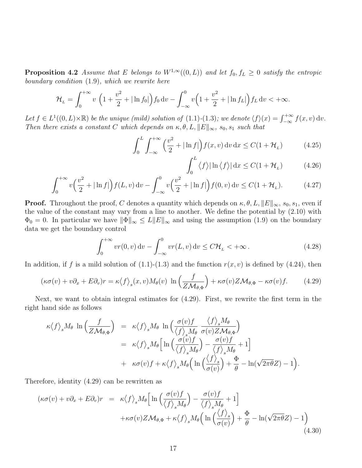**Proposition 4.2** Assume that E belongs to  $W^{1,\infty}((0,L))$  and let  $f_0, f_L \geq 0$  satisfy the entropic boundary condition (1.9), which we rewrite here

$$
\mathcal{H}_L = \int_0^{+\infty} v \left( 1 + \frac{v^2}{2} + |\ln f_0| \right) f_0 \, dv - \int_{-\infty}^0 v \left( 1 + \frac{v^2}{2} + |\ln f_L| \right) f_L \, dv < +\infty.
$$

Let  $f \in L^1((0,L)\times \mathbb{R})$  be the unique (mild) solution of (1.1)-(1.3); we denote  $\langle f \rangle(x) = \int_{-\infty}^{+\infty} f(x,v) dv$ . Then there exists a constant C which depends on  $\kappa, \theta, L, ||E||_{\infty}$ ,  $s_0, s_1$  such that

$$
\int_0^L \int_{-\infty}^{+\infty} \left(\frac{v^2}{2} + |\ln f|\right) f(x, v) \, \mathrm{d}v \, \mathrm{d}x \le C(1 + \mathcal{H}_L) \tag{4.25}
$$

$$
\int_0^L \langle f \rangle |\ln \langle f \rangle| dx \le C(1 + \mathcal{H}_L)
$$
 (4.26)

$$
\int_0^{+\infty} v\left(\frac{v^2}{2} + |\ln f|\right) f(L, v) \, \mathrm{d}v - \int_{-\infty}^0 v\left(\frac{v^2}{2} + |\ln f|\right) f(0, v) \, \mathrm{d}v \le C(1 + \mathcal{H}_L). \tag{4.27}
$$

**Proof.** Throughout the proof, C denotes a quantity which depends on  $\kappa$ ,  $\theta$ , L,  $||E||_{\infty}$ ,  $s_0$ ,  $s_1$ , even if the value of the constant may vary from a line to another. We define the potential by (2.10) with  $\Phi_0 = 0$ . In particular we have  $\|\Phi\|_{\infty} \leq L \|E\|_{\infty}$  and using the assumption (1.9) on the boundary data we get the boundary control

$$
\int_0^{+\infty} vr(0, v) dv - \int_{-\infty}^0 vr(L, v) dv \le C\mathcal{H}_L < +\infty.
$$
 (4.28)

In addition, if f is a mild solution of  $(1.1)-(1.3)$  and the function  $r(x, v)$  is defined by  $(4.24)$ , then

$$
(\kappa\sigma(v) + v\partial_x + E\partial_v)r = \kappa \langle f \rangle_s(x, v)M_\theta(v) \ln\left(\frac{f}{Z\mathcal{M}_{\theta,\Phi}}\right) + \kappa\sigma(v)Z\mathcal{M}_{\theta,\Phi} - \kappa\sigma(v)f. \tag{4.29}
$$

Next, we want to obtain integral estimates for (4.29). First, we rewrite the first term in the right hand side as follows

$$
\kappa \langle f \rangle_s M_\theta \ln \left( \frac{f}{Z M_{\theta,\Phi}} \right) = \kappa \langle f \rangle_s M_\theta \ln \left( \frac{\sigma(v) f}{\langle f \rangle_s M_\theta} \frac{\langle f \rangle_s M_\theta}{\sigma(v) Z M_{\theta,\Phi}} \right)
$$
  
\n
$$
= \kappa \langle f \rangle_s M_\theta \left[ \ln \left( \frac{\sigma(v) f}{\langle f \rangle_s M_\theta} \right) - \frac{\sigma(v) f}{\langle f \rangle_s M_\theta} + 1 \right]
$$
  
\n
$$
+ \kappa \sigma(v) f + \kappa \langle f \rangle_s M_\theta \left( \ln \left( \frac{\langle f \rangle_s}{\sigma(v)} \right) + \frac{\Phi}{\theta} - \ln(\sqrt{2\pi\theta}Z) - 1 \right).
$$

Therefore, identity (4.29) can be rewritten as

$$
(\kappa \sigma(v) + v\partial_x + E\partial_v)r = \kappa \langle f \rangle_s M_\theta \Big[ \ln \Big( \frac{\sigma(v)f}{\langle f \rangle_s M_\theta} \Big) - \frac{\sigma(v)f}{\langle f \rangle_s M_\theta} + 1 \Big] + \kappa \sigma(v) Z \mathcal{M}_{\theta, \Phi} + \kappa \langle f \rangle_s M_\theta \Big( \ln \Big( \frac{\langle f \rangle_s}{\sigma(v)} \Big) + \frac{\Phi}{\theta} - \ln(\sqrt{2\pi\theta}Z) - 1 \Big)
$$
(4.30)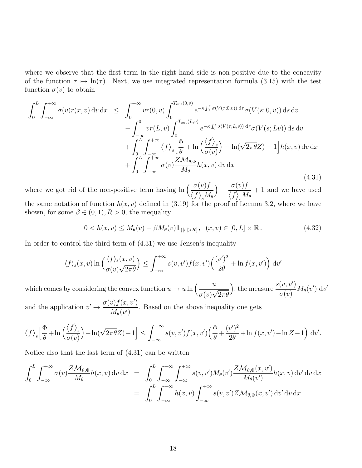where we observe that the first term in the right hand side is non-positive due to the concavity of the function  $\tau \mapsto \ln(\tau)$ . Next, we use integrated representation formula (3.15) with the test function  $\sigma(v)$  to obtain

$$
\int_{0}^{L} \int_{-\infty}^{+\infty} \sigma(v)r(x,v) dv dx \leq \int_{0}^{+\infty} vr(0,v) \int_{0}^{T_{\text{out}}(0,v)} e^{-\kappa \int_{0}^{s} \sigma(V(\tau;0,v)) d\tau} \sigma(V(s;0,v)) ds dv \n- \int_{-\infty}^{0} vr(L,v) \int_{0}^{T_{\text{out}}(L,v)} e^{-\kappa \int_{0}^{s} \sigma(V(\tau;L,v)) d\tau} \sigma(V(s;Lv)) ds dv \n+ \int_{0}^{L} \int_{-\infty}^{+\infty} \langle f \rangle_{s} \left[ \frac{\Phi}{\theta} + \ln \left( \frac{\langle f \rangle_{s}}{\sigma(v)} \right) - \ln(\sqrt{2\pi\theta}Z) - 1 \right] h(x,v) dv dx \n+ \int_{0}^{L} \int_{-\infty}^{+\infty} \sigma(v) \frac{ZM_{\theta,\Phi}}{M_{\theta}} h(x,v) dv dx
$$
\n(4.31)

where we got rid of the non-positive term having  $\ln \left( \frac{\sigma(v)f}{\langle f \rangle_s M_\theta} \right)$  $-\frac{\sigma(v)f}{\sqrt{v-v}}$  $\big\langle f \big\rangle_s M_\theta$ + 1 and we have used the same notation of function  $h(x, v)$  defined in (3.19) for the proof of Lemma 3.2, where we have shown, for some  $\beta \in (0,1), R > 0$ , the inequality

$$
0 < h(x, v) \le M_{\theta}(v) - \beta M_{\theta}(v) \mathbf{1}_{\{|v| > R\}}, \quad (x, v) \in [0, L] \times \mathbb{R} \,. \tag{4.32}
$$

In order to control the third term of (4.31) we use Jensen's inequality

$$
\langle f \rangle_s(x,v) \ln \left( \frac{\langle f \rangle_s(x,v)}{\sigma(v)\sqrt{2\pi\theta}} \right) \leq \int_{-\infty}^{+\infty} s(v,v') f(x,v') \left( \frac{(v')^2}{2\theta} + \ln f(x,v') \right) dv'
$$

which comes by considering the convex function  $u \to u \ln \left( \frac{u}{u} \right)$  $\sigma(v)$  $\frac{w}{4}$  $2\pi\theta$ ), the measure  $\frac{s(v, v')}{\sqrt{2}}$  $\frac{(v, v)}{\sigma(v)} M_{\theta}(v') \, \mathrm{d}v'$ and the application  $v' \rightarrow \frac{\sigma(v)f(x, v')}{M(v')}$  $M_\theta(v')$ . Based on the above inequality one gets

$$
\left\langle f \right\rangle_s \left[ \frac{\Phi}{\theta} + \ln \left( \frac{\left\langle f \right\rangle_s}{\sigma(v)} \right) - \ln(\sqrt{2\pi\theta} Z) - 1 \right] \leq \int_{-\infty}^{+\infty} s(v, v') f(x, v') \left( \frac{\Phi}{\theta} + \frac{(v')^2}{2\theta} + \ln f(x, v') - \ln Z - 1 \right) \, \mathrm{d}v'.
$$

Notice also that the last term of (4.31) can be written

$$
\int_0^L \int_{-\infty}^{+\infty} \sigma(v) \frac{Z \mathcal{M}_{\theta,\Phi}}{M_{\theta}} h(x,v) dv dx = \int_0^L \int_{-\infty}^{+\infty} \int_{-\infty}^{+\infty} s(v,v') M_{\theta}(v') \frac{Z \mathcal{M}_{\theta,\Phi}(x,v')}{M_{\theta}(v')} h(x,v) dv' dv dx
$$
  
= 
$$
\int_0^L \int_{-\infty}^{+\infty} h(x,v) \int_{-\infty}^{+\infty} s(v,v') Z \mathcal{M}_{\theta,\Phi}(x,v') dv' dv dx.
$$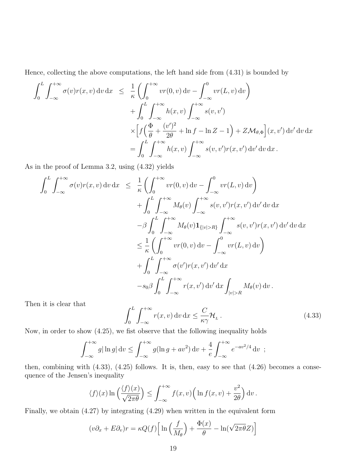Hence, collecting the above computations, the left hand side from (4.31) is bounded by

$$
\int_0^L \int_{-\infty}^{+\infty} \sigma(v)r(x,v) dv dx \leq \frac{1}{\kappa} \left( \int_0^{+\infty} vr(0,v) dv - \int_{-\infty}^0 vr(L,v) dv \right)
$$
  
+ 
$$
\int_0^L \int_{-\infty}^{+\infty} h(x,v) \int_{-\infty}^{+\infty} s(v,v')
$$
  

$$
\times \left[ f\left(\frac{\Phi}{\theta} + \frac{(v')^2}{2\theta} + \ln f - \ln Z - 1 \right) + Z\mathcal{M}_{\theta,\Phi} \right](x,v') dv' dv dx
$$
  
= 
$$
\int_0^L \int_{-\infty}^{+\infty} h(x,v) \int_{-\infty}^{+\infty} s(v,v')r(x,v') dv' dv dx.
$$

As in the proof of Lemma 3.2, using (4.32) yields

$$
\int_{0}^{L} \int_{-\infty}^{+\infty} \sigma(v)r(x,v) dv dx \leq \frac{1}{\kappa} \left( \int_{0}^{+\infty} vr(0,v) dv - \int_{-\infty}^{0} vr(L,v) dv \right)
$$
  
+ 
$$
\int_{0}^{L} \int_{-\infty}^{+\infty} M_{\theta}(v) \int_{-\infty}^{+\infty} s(v, v')r(x, v') dv' dv dx
$$
  
- 
$$
\beta \int_{0}^{L} \int_{-\infty}^{+\infty} M_{\theta}(v) \mathbf{1}_{\{|v|>R\}} \int_{-\infty}^{+\infty} s(v, v')r(x, v') dv' dv dx
$$
  

$$
\leq \frac{1}{\kappa} \left( \int_{0}^{+\infty} vr(0, v) dv - \int_{-\infty}^{0} vr(L, v) dv \right)
$$
  
+ 
$$
\int_{0}^{L} \int_{-\infty}^{+\infty} \sigma(v')r(x, v') dv' dx
$$
  
- 
$$
s_{0} \beta \int_{0}^{L} \int_{-\infty}^{+\infty} r(x, v') dv' dx \int_{|v|>R} M_{\theta}(v) dv.
$$

Then it is clear that

$$
\int_0^L \int_{-\infty}^{+\infty} r(x, v) dv dx \leq \frac{C}{\kappa \gamma} \mathcal{H}_L.
$$
 (4.33)

Now, in order to show (4.25), we fist observe that the following inequality holds

$$
\int_{-\infty}^{+\infty} g|\ln g| \, \mathrm{d}v \le \int_{-\infty}^{+\infty} g(\ln g + av^2) \, \mathrm{d}v + \frac{4}{e} \int_{-\infty}^{+\infty} e^{-av^2/4} \, \mathrm{d}v ;
$$

then, combining with  $(4.33)$ ,  $(4.25)$  follows. It is, then, easy to see that  $(4.26)$  becomes a consequence of the Jensen's inequality

$$
\langle f \rangle(x) \ln \left( \frac{\langle f \rangle(x)}{\sqrt{2\pi \theta}} \right) \leq \int_{-\infty}^{+\infty} f(x, v) \left( \ln f(x, v) + \frac{v^2}{2\theta} \right) dv.
$$

Finally, we obtain (4.27) by integrating (4.29) when written in the equivalent form

$$
(v\partial_x + E\partial_v)r = \kappa Q(f)\left[\ln\left(\frac{f}{M_\theta}\right) + \frac{\Phi(x)}{\theta} - \ln(\sqrt{2\pi\theta}Z)\right]
$$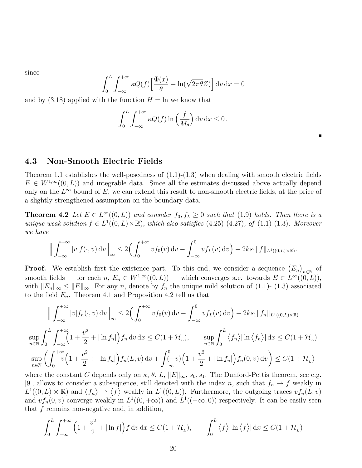since

$$
\int_0^L \int_{-\infty}^{+\infty} \kappa Q(f) \left[ \frac{\Phi(x)}{\theta} - \ln(\sqrt{2\pi\theta} Z) \right] dv dx = 0
$$

and by  $(3.18)$  applied with the function  $H = \ln$  we know that

$$
\int_0^L \int_{-\infty}^{+\infty} \kappa Q(f) \ln\left(\frac{f}{M_\theta}\right) \mathrm{d}v \, \mathrm{d}x \le 0 \, .
$$

### 4.3 Non-Smooth Electric Fields

Theorem 1.1 establishes the well-posedness of  $(1.1)-(1.3)$  when dealing with smooth electric fields  $E \in W^{1,\infty}((0,L))$  and integrable data. Since all the estimates discussed above actually depend only on the  $L^{\infty}$  bound of E, we can extend this result to non-smooth electric fields, at the price of a slightly strengthened assumption on the boundary data.

**Theorem 4.2** Let  $E \in L^{\infty}((0, L))$  and consider  $f_0, f_L \geq 0$  such that (1.9) holds. Then there is a unique weak solution  $f \in L^1((0,L)\times\mathbb{R})$ , which also satisfies (4.25)-(4.27), of (1.1)-(1.3). Moreover we have

$$
\Big\|\int_{-\infty}^{+\infty}|v|f(\cdot,v)\,\mathrm{d}v\Big\|_{\infty}\leq 2\Big(\int_{0}^{+\infty}vf_0(v)\,\mathrm{d}v-\int_{-\infty}^0vf_L(v)\,\mathrm{d}v\Big)+2ks_1\|f\|_{L^1((0,L)\times\mathbb{R})}.
$$

**Proof.** We establish first the existence part. To this end, we consider a sequence  $(E_n)_{n\in\mathbb{N}}$  of smooth fields — for each  $n, E_n \in W^{1,\infty}((0,L))$  — which converges a.e. towards  $E \in L^{\infty}((0,L)),$ with  $||E_n||_{\infty} \le ||E||_{\infty}$ . For any n, denote by  $f_n$  the unique mild solution of (1.1)- (1.3) associated to the field  $E_n$ . Theorem 4.1 and Proposition 4.2 tell us that

$$
\left\| \int_{-\infty}^{+\infty} |v| f_n(\cdot, v) dv \right\|_{\infty} \le 2 \Big( \int_0^{+\infty} v f_0(v) dv - \int_{-\infty}^0 v f_L(v) dv \Big) + 2ks_1 \|f_n\|_{L^1((0, L) \times \mathbb{R})}
$$
  
\n
$$
\sup_{n \in \mathbb{N}} \int_0^L \int_{-\infty}^{+\infty} \Big( 1 + \frac{v^2}{2} + |\ln f_n| \Big) f_n dv dx \le C(1 + \mathcal{H}_L), \qquad \sup_{n \in \mathbb{N}} \int_0^L \langle f_n \rangle |\ln \langle f_n \rangle| dx \le C(1 + \mathcal{H}_L)
$$
  
\n
$$
\sup_{n \in \mathbb{N}} \Big( \int_0^{+\infty} v \Big( 1 + \frac{v^2}{2} + |\ln f_n| \Big) f_n(L, v) dv + \int_{-\infty}^0 (v) \Big( 1 + \frac{v^2}{2} + |\ln f_n| \Big) f_n(0, v) dv \Big) \le C(1 + \mathcal{H}_L)
$$

where the constant C depends only on  $\kappa$ ,  $\theta$ , L,  $||E||_{\infty}$ ,  $s_0$ ,  $s_1$ . The Dunford-Pettis theorem, see e.g. [9], allows to consider a subsequence, still denoted with the index n, such that  $f_n \rightharpoonup f$  weakly in  $L^1((0,L)\times\mathbb{R})$  and  $\langle f_n \rangle \to \langle f \rangle$  weakly in  $L^1((0,L))$ . Furthermore, the outgoing traces  $v f_n(L, v)$ and  $vf_n(0, v)$  converge weakly in  $L^1((0, +\infty))$  and  $L^1((-\infty, 0))$  respectively. It can be easily seen that  $f$  remains non-negative and, in addition,

$$
\int_0^L \int_{-\infty}^{+\infty} \left(1 + \frac{v^2}{2} + |\ln f|\right) f \, dv \, dx \le C(1 + \mathcal{H}_L), \qquad \int_0^L \langle f \rangle |\ln \langle f \rangle| dx \le C(1 + \mathcal{H}_L)
$$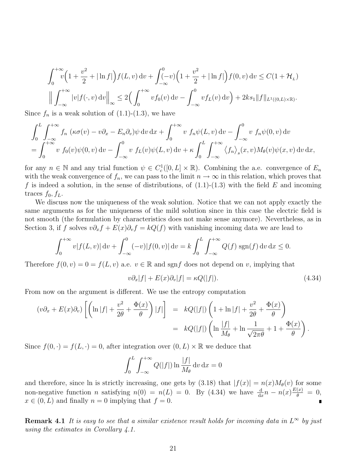$$
\int_0^{+\infty} v \left(1 + \frac{v^2}{2} + |\ln f|\right) f(L, v) \, dv + \int_{-\infty}^0 (v - v) \left(1 + \frac{v^2}{2} + |\ln f|\right) f(0, v) \, dv \le C(1 + \mathcal{H}_L)
$$
\n
$$
\left\| \int_{-\infty}^{+\infty} |v| f(\cdot, v) \, dv \right\|_{\infty} \le 2 \left( \int_0^{+\infty} v f_0(v) \, dv - \int_{-\infty}^0 v f_L(v) \, dv \right) + 2ks_1 \|f\|_{L^1((0, L) \times \mathbb{R})}.
$$

Since  $f_n$  is a weak solution of  $(1.1)-(1.3)$ , we have

$$
\int_0^L \int_{-\infty}^{+\infty} f_n(\kappa \sigma(v) - v \partial_x - E_n \partial_v) \psi \, dv \, dx + \int_0^{+\infty} v f_n \psi(L, v) \, dv - \int_{-\infty}^0 v f_n \psi(0, v) \, dv
$$
  
= 
$$
\int_0^{+\infty} v f_0(v) \psi(0, v) \, dv - \int_{-\infty}^0 v f_L(v) \psi(L, v) \, dv + \kappa \int_0^L \int_{-\infty}^{\infty} \langle f_n \rangle_s(x, v) M_\theta(v) \psi(x, v) \, dv \, dx,
$$

for any  $n \in \mathbb{N}$  and any trial function  $\psi \in C_c^1([0,L] \times \mathbb{R})$ . Combining the a.e. convergence of  $E_n$ with the weak convergence of  $f_n$ , we can pass to the limit  $n \to \infty$  in this relation, which proves that f is indeed a solution, in the sense of distributions, of  $(1.1)-(1.3)$  with the field E and incoming traces  $f_0, f_L$ .

We discuss now the uniqueness of the weak solution. Notice that we can not apply exactly the same arguments as for the uniqueness of the mild solution since in this case the electric field is not smooth (the formulation by characteristics does not make sense anymore). Nevertheless, as in Section 3, if f solves  $v\partial_x f + E(x)\partial_v f = kQ(f)$  with vanishing incoming data we are lead to

$$
\int_0^{+\infty} v|f(L,v)| \, \mathrm{d}v + \int_{-\infty}^0 (-v)|f(0,v)| \, \mathrm{d}v = k \int_0^L \int_{-\infty}^{+\infty} Q(f) \, \mathrm{sgn}(f) \, \mathrm{d}v \, \mathrm{d}x \le 0.
$$

Therefore  $f(0, v) = 0 = f(L, v)$  a.e.  $v \in \mathbb{R}$  and sgnf does not depend on v, implying that

$$
v\partial_x|f| + E(x)\partial_v|f| = \kappa Q(|f|). \tag{4.34}
$$

From now on the argument is different. We use the entropy computation

$$
\begin{split} \left(v\partial_x + E(x)\partial_v\right) \left[ \left(\ln|f| + \frac{v^2}{2\theta} + \frac{\Phi(x)}{\theta}\right) |f|\right] &= kQ(|f|) \left(1 + \ln|f| + \frac{v^2}{2\theta} + \frac{\Phi(x)}{\theta}\right) \\ &= kQ(|f|) \left(\ln\frac{|f|}{M_\theta} + \ln\frac{1}{\sqrt{2\pi\theta}} + 1 + \frac{\Phi(x)}{\theta}\right). \end{split}
$$

Since  $f(0, \cdot) = f(L, \cdot) = 0$ , after integration over  $(0, L) \times \mathbb{R}$  we deduce that

$$
\int_0^L \int_{-\infty}^{+\infty} Q(|f|) \ln \frac{|f|}{M_\theta} \, \mathrm{d}v \, \mathrm{d}x = 0
$$

and therefore, since ln is strictly increasing, one gets by  $(3.18)$  that  $|f(x)| = n(x)M_{\theta}(v)$  for some non-negative function *n* satisfying  $n(0) = n(L) = 0$ . By (4.34) we have  $\frac{d}{dx}n - n(x)\frac{E(x)}{\theta} = 0$ ,  $x \in (0, L)$  and finally  $n = 0$  implying that  $f = 0$ .

**Remark 4.1** It is easy to see that a similar existence result holds for incoming data in  $L^{\infty}$  by just using the estimates in Corollary 4.1.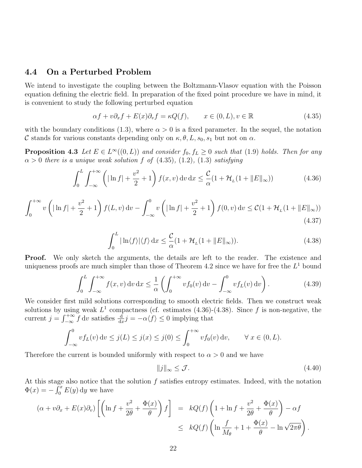#### 4.4 On a Perturbed Problem

We intend to investigate the coupling between the Boltzmann-Vlasov equation with the Poisson equation defining the electric field. In preparation of the fixed point procedure we have in mind, it is convenient to study the following perturbed equation

$$
\alpha f + v \partial_x f + E(x) \partial_v f = \kappa Q(f), \qquad x \in (0, L), v \in \mathbb{R}
$$
\n(4.35)

with the boundary conditions (1.3), where  $\alpha > 0$  is a fixed parameter. In the sequel, the notation C stands for various constants depending only on  $\kappa, \theta, L, s_0, s_1$  but not on  $\alpha$ .

**Proposition 4.3** Let  $E \in L^{\infty}((0, L))$  and consider  $f_0, f_L \geq 0$  such that (1.9) holds. Then for any  $\alpha > 0$  there is a unique weak solution f of (4.35), (1.2), (1.3) satisfying

$$
\int_0^L \int_{-\infty}^{+\infty} \left( |\ln f| + \frac{v^2}{2} + 1 \right) f(x, v) \, dv \, dx \le \frac{C}{\alpha} (1 + \mathcal{H}_L (1 + ||E||_{\infty})) \tag{4.36}
$$

$$
\int_0^{+\infty} v\left( |\ln f| + \frac{v^2}{2} + 1 \right) f(L, v) dv - \int_{-\infty}^0 v\left( |\ln f| + \frac{v^2}{2} + 1 \right) f(0, v) dv \le C(1 + \mathcal{H}_L(1 + ||E||_{\infty}))
$$
\n(4.37)

$$
\int_0^L |\ln\langle f \rangle| \langle f \rangle \, dx \le \frac{C}{\alpha} (1 + \mathcal{H}_L (1 + ||E||_{\infty})). \tag{4.38}
$$

Proof. We only sketch the arguments, the details are left to the reader. The existence and uniqueness proofs are much simpler than those of Theorem 4.2 since we have for free the  $L^1$  bound

$$
\int_0^L \int_{-\infty}^{+\infty} f(x, v) dv dx \le \frac{1}{\alpha} \left( \int_0^{+\infty} v f_0(v) dv - \int_{-\infty}^0 v f_L(v) dv \right). \tag{4.39}
$$

We consider first mild solutions corresponding to smooth electric fields. Then we construct weak solutions by using weak  $L^1$  compactness (cf. estimates  $(4.36)-(4.38)$ . Since f is non-negative, the current  $j = \int_{-\infty}^{+\infty} f \, dv$  satisfies  $\frac{d}{dx} j = -\alpha \langle f \rangle \leq 0$  implying that

$$
\int_{-\infty}^0 v f_L(v) dv \le j(L) \le j(x) \le j(0) \le \int_0^{+\infty} v f_0(v) dv, \qquad \forall x \in (0, L).
$$

Therefore the current is bounded uniformly with respect to  $\alpha > 0$  and we have

$$
||j||_{\infty} \leq \mathcal{J}.\tag{4.40}
$$

At this stage also notice that the solution  $f$  satisfies entropy estimates. Indeed, with the notation  $\Phi(x) = -\int_0^x E(y) dy$  we have

$$
(\alpha + v\partial_x + E(x)\partial_v) \left[ \left( \ln f + \frac{v^2}{2\theta} + \frac{\Phi(x)}{\theta} \right) f \right] = kQ(f) \left( 1 + \ln f + \frac{v^2}{2\theta} + \frac{\Phi(x)}{\theta} \right) - \alpha f
$$
  

$$
\leq kQ(f) \left( \ln \frac{f}{M_\theta} + 1 + \frac{\Phi(x)}{\theta} - \ln \sqrt{2\pi\theta} \right).
$$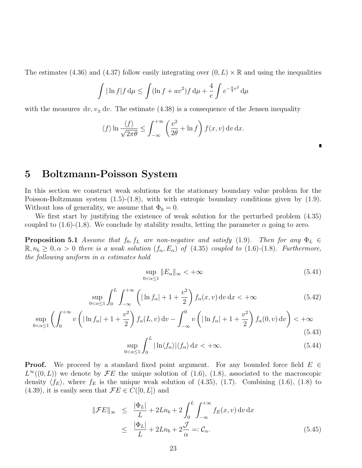The estimates (4.36) and (4.37) follow easily integrating over  $(0, L) \times \mathbb{R}$  and using the inequalities

$$
\int |\ln f| f d\mu \le \int (\ln f + av^2) f d\mu + \frac{4}{e} \int e^{-\frac{a}{4}v^2} d\mu
$$

with the measures  $dv, v_{\pm} dv$ . The estimate (4.38) is a consequence of the Jensen inequality

$$
\langle f \rangle \ln \frac{\langle f \rangle}{\sqrt{2\pi\theta}} \le \int_{-\infty}^{+\infty} \left( \frac{v^2}{2\theta} + \ln f \right) f(x, v) dv dx.
$$

### 5 Boltzmann-Poisson System

In this section we construct weak solutions for the stationary boundary value problem for the Poisson-Boltzmann system (1.5)-(1.8), with with entropic boundary conditions given by (1.9). Without loss of generality, we assume that  $\Phi_0 = 0$ .

We first start by justifying the existence of weak solution for the perturbed problem (4.35) coupled to  $(1.6)-(1.8)$ . We conclude by stability results, letting the parameter  $\alpha$  going to zero.

**Proposition 5.1** Assume that  $f_0, f_L$  are non-negative and satisfy (1.9). Then for any  $\Phi_L \in$  $\mathbb{R}, n_b \geq 0, \alpha > 0$  there is a weak solution  $(f_{\alpha}, E_{\alpha})$  of  $(4.35)$  coupled to  $(1.6)-(1.8)$ . Furthermore, the following uniform in  $\alpha$  estimates hold

$$
\sup_{0 < \alpha \le 1} \|E_{\alpha}\|_{\infty} < +\infty \tag{5.41}
$$

 $\blacksquare$ 

$$
\sup_{0<\alpha\leq 1} \int_0^L \int_{-\infty}^{+\infty} \left( |\ln f_\alpha| + 1 + \frac{v^2}{2} \right) f_\alpha(x, v) \, \mathrm{d}v \, \mathrm{d}x < +\infty \tag{5.42}
$$

$$
\sup_{0<\alpha\leq 1}\left(\int_0^{+\infty}v\left(\left|\ln f_\alpha\right|+1+\frac{v^2}{2}\right)f_\alpha(L,v)\,\mathrm{d}v-\int_{-\infty}^0v\left(\left|\ln f_\alpha\right|+1+\frac{v^2}{2}\right)f_\alpha(0,v)\,\mathrm{d}v\right)<+\infty\tag{5.43}
$$

$$
\sup_{0<\alpha\leq 1} \int_0^L |\ln \langle f_\alpha \rangle| \langle f_\alpha \rangle \, \mathrm{d}x < +\infty. \tag{5.44}
$$

**Proof.** We proceed by a standard fixed point argument. For any bounded force field  $E \in$  $L^{\infty}((0,L))$  we denote by  $\mathcal{F}E$  the unique solution of (1.6), (1.8), associated to the macroscopic density  $\langle f_E \rangle$ , where  $f_E$  is the unique weak solution of (4.35), (1.7). Combining (1.6), (1.8) to  $(4.39)$ , it is easily seen that  $\mathcal{F}E \in C([0,L])$  and

$$
\|\mathcal{F}E\|_{\infty} \leq \frac{|\Phi_L|}{L} + 2Ln_b + 2\int_0^L \int_{-\infty}^{+\infty} f_E(x, v) dv dx
$$
  

$$
\leq \frac{|\Phi_L|}{L} + 2Ln_b + 2\frac{\mathcal{J}}{\alpha} =: \mathcal{C}_{\alpha}.
$$
 (5.45)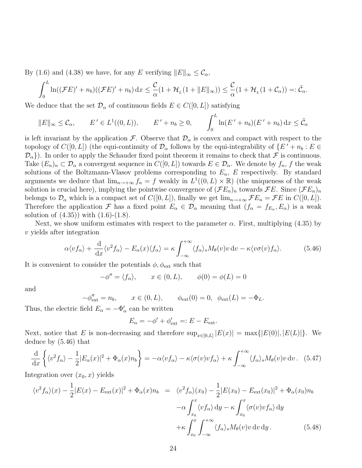By (1.6) and (4.38) we have, for any E verifying  $||E||_{\infty} \leq C_{\alpha}$ ,

$$
\int_0^L \ln((\mathcal{F}E)' + n_b)((\mathcal{F}E)' + n_b) dx \leq \frac{\mathcal{C}}{\alpha}(1 + \mathcal{H}_L(1 + ||E||_{\infty})) \leq \frac{\mathcal{C}}{\alpha}(1 + \mathcal{H}_L(1 + \mathcal{C}_{\alpha})) =: \tilde{\mathcal{C}}_{\alpha}.
$$

We deduce that the set  $\mathcal{D}_{\alpha}$  of continuous fields  $E \in C([0, L])$  satisfying

$$
||E||_{\infty} \leq \mathcal{C}_{\alpha}, \qquad E' \in L^{1}((0, L)), \qquad E' + n_b \geq 0, \qquad \int_{0}^{L} \ln(E' + n_b)(E' + n_b) dx \leq \tilde{\mathcal{C}}_{\alpha}
$$

is left invariant by the application F. Observe that  $\mathcal{D}_{\alpha}$  is convex and compact with respect to the topology of  $C([0, L])$  (the equi-continuity of  $\mathcal{D}_{\alpha}$  follows by the equi-integrability of  $\{E' + n_b : E \in$  $\mathcal{D}_{\alpha}$ ). In order to apply the Schauder fixed point theorem it remains to check that F is continuous. Take  $(E_n)_n \subset \mathcal{D}_\alpha$  a convergent sequence in  $C([0,L])$  towards  $E \in \mathcal{D}_\alpha$ . We denote by  $f_n$ , f the weak solutions of the Boltzmann-Vlasov problems corresponding to  $E_n$ , E respectively. By standard arguments we deduce that  $\lim_{n\to+\infty} f_n = f$  weakly in  $L^1((0,L)\times\mathbb{R})$  (the uniqueness of the weak solution is crucial here), implying the pointwise convergence of  $(\mathcal{F}E_n)_n$  towards  $\mathcal{F}E$ . Since  $(\mathcal{F}E_n)_n$ belongs to  $\mathcal{D}_{\alpha}$  which is a compact set of  $C([0, L])$ , finally we get  $\lim_{n\to+\infty} \mathcal{F}E_n = \mathcal{F}E$  in  $C([0, L])$ . Therefore the application F has a fixed point  $E_{\alpha} \in \mathcal{D}_{\alpha}$  meaning that  $(f_{\alpha} = f_{E_{\alpha}}, E_{\alpha})$  is a weak solution of  $(4.35)$ ) with  $(1.6)-(1.8)$ .

Next, we show uniform estimates with respect to the parameter  $\alpha$ . First, multiplying (4.35) by v yields after integration

$$
\alpha \langle v f_{\alpha} \rangle + \frac{\mathrm{d}}{\mathrm{d}x} \langle v^2 f_{\alpha} \rangle - E_{\alpha}(x) \langle f_{\alpha} \rangle = \kappa \int_{-\infty}^{+\infty} \langle f_{\alpha} \rangle_s M_{\theta}(v) v \, \mathrm{d}v - \kappa \langle v \sigma(v) f_{\alpha} \rangle. \tag{5.46}
$$

It is convenient to consider the potentials  $\phi$ ,  $\phi_{\text{ext}}$  such that

$$
-\phi'' = \langle f_{\alpha} \rangle, \qquad x \in (0, L), \qquad \phi(0) = \phi(L) = 0
$$

and

$$
-\phi''_{ext} = n_b
$$
,  $x \in (0, L)$ ,  $\phi_{ext}(0) = 0$ ,  $\phi_{ext}(L) = -\Phi_L$ .

Thus, the electric field  $E_{\alpha} = -\Phi'_{\alpha}$  can be written

$$
E_{\alpha} = -\phi' + \phi_{\text{ext}}' =: E - E_{\text{ext}}.
$$

Next, notice that E is non-decreasing and therefore  $\sup_{x\in[0,L]}|E(x)| = \max\{|E(0)|, |E(L)|\}$ . We deduce by (5.46) that

$$
\frac{\mathrm{d}}{\mathrm{d}x} \left\{ \langle v^2 f_\alpha \rangle - \frac{1}{2} |E_\alpha(x)|^2 + \Phi_\alpha(x) n_b \right\} = -\alpha \langle v f_\alpha \rangle - \kappa \langle \sigma(v) v f_\alpha \rangle + \kappa \int_{-\infty}^{+\infty} \langle f_\alpha \rangle_s M_\theta(v) v \, \mathrm{d}v. \tag{5.47}
$$

Integration over  $(x_0, x)$  yields

$$
\langle v^2 f_\alpha \rangle (x) - \frac{1}{2} |E(x) - E_{\text{ext}}(x)|^2 + \Phi_\alpha(x) n_b = \langle v^2 f_\alpha \rangle (x_0) - \frac{1}{2} |E(x_0) - E_{\text{ext}}(x_0)|^2 + \Phi_\alpha(x_0) n_b
$$

$$
- \alpha \int_{x_0}^x \langle v f_\alpha \rangle \, \mathrm{d}y - \kappa \int_{x_0}^x \langle \sigma(v) v f_\alpha \rangle \, \mathrm{d}y
$$

$$
+ \kappa \int_{x_0}^x \int_{-\infty}^{+\infty} \langle f_\alpha \rangle_s M_\theta(v) v \, \mathrm{d}v \, \mathrm{d}y. \tag{5.48}
$$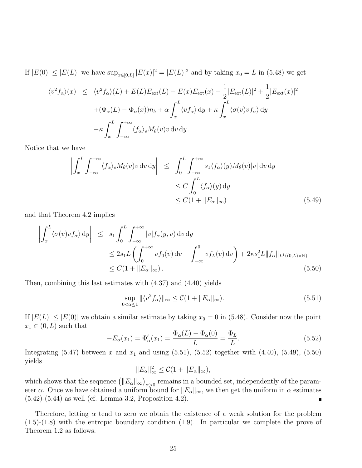If  $|E(0)| \leq |E(L)|$  we have  $\sup_{x \in [0,L]} |E(x)|^2 = |E(L)|^2$  and by taking  $x_0 = L$  in (5.48) we get

$$
\langle v^2 f_\alpha \rangle (x) \leq \langle v^2 f_\alpha \rangle (L) + E(L) E_{\text{ext}}(L) - E(x) E_{\text{ext}}(x) - \frac{1}{2} |E_{\text{ext}}(L)|^2 + \frac{1}{2} |E_{\text{ext}}(x)|^2
$$
  
+ 
$$
(\Phi_\alpha(L) - \Phi_\alpha(x)) n_b + \alpha \int_x^L \langle v f_\alpha \rangle \, dy + \kappa \int_x^L \langle \sigma(v) v f_\alpha \rangle \, dy
$$
  
-
$$
\kappa \int_x^L \int_{-\infty}^{+\infty} \langle f_\alpha \rangle_s M_\theta(v) v \, dv \, dy.
$$

Notice that we have

$$
\left| \int_{x}^{L} \int_{-\infty}^{+\infty} \langle f_{\alpha} \rangle_{s} M_{\theta}(v) v \, \mathrm{d}v \, \mathrm{d}y \right| \leq \int_{0}^{L} \int_{-\infty}^{+\infty} s_{1} \langle f_{\alpha} \rangle(y) M_{\theta}(v) |v| \, \mathrm{d}v \, \mathrm{d}y
$$

$$
\leq C \int_{0}^{L} \langle f_{\alpha} \rangle(y) \, \mathrm{d}y
$$

$$
\leq C (1 + \|E_{\alpha}\|_{\infty}) \tag{5.49}
$$

and that Theorem 4.2 implies

$$
\left| \int_x^L \langle \sigma(v)v f_\alpha \rangle \, \mathrm{d}y \right| \leq s_1 \int_0^L \int_{-\infty}^{+\infty} |v| f_\alpha(y, v) \, \mathrm{d}v \, \mathrm{d}y
$$
\n
$$
\leq 2s_1 L \left( \int_0^{+\infty} v f_0(v) \, \mathrm{d}v - \int_{-\infty}^0 v f_L(v) \, \mathrm{d}v \right) + 2\kappa s_1^2 L \| f_\alpha \|_{L^1((0, L) \times \mathbb{R})}
$$
\n
$$
\leq C (1 + \| E_\alpha \|_\infty). \tag{5.50}
$$

Then, combining this last estimates with (4.37) and (4.40) yields

$$
\sup_{0<\alpha\leq 1} \|\langle v^2 f_\alpha \rangle\|_{\infty} \leq C(1 + \|E_\alpha\|_{\infty}).\tag{5.51}
$$

If  $|E(L)| \leq |E(0)|$  we obtain a similar estimate by taking  $x_0 = 0$  in (5.48). Consider now the point  $x_1 \in (0, L)$  such that

$$
-E_{\alpha}(x_1) = \Phi_{\alpha}'(x_1) = \frac{\Phi_{\alpha}(L) - \Phi_{\alpha}(0)}{L} = \frac{\Phi_L}{L}.
$$
\n(5.52)

Integrating  $(5.47)$  between x and  $x_1$  and using  $(5.51)$ ,  $(5.52)$  together with  $(4.40)$ ,  $(5.49)$ ,  $(5.50)$ yields

$$
||E_{\alpha}||_{\infty}^2 \leq C(1 + ||E_{\alpha}||_{\infty}),
$$

which shows that the sequence  $\left(\|E_{\alpha}\|_{\infty}\right)_{\alpha>0}$  remains in a bounded set, independently of the parameter  $\alpha$ . Once we have obtained a uniform bound for  $||E_{\alpha}||_{\infty}$ , we then get the uniform in  $\alpha$  estimates (5.42)-(5.44) as well (cf. Lemma 3.2, Proposition 4.2).  $\blacksquare$ 

Therefore, letting  $\alpha$  tend to zero we obtain the existence of a weak solution for the problem (1.5)-(1.8) with the entropic boundary condition (1.9). In particular we complete the prove of Theorem 1.2 as follows.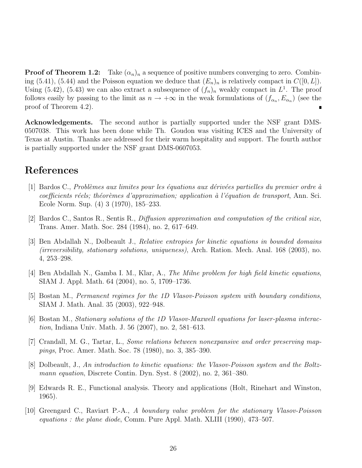**Proof of Theorem 1.2:** Take  $(\alpha_n)_n$  a sequence of positive numbers converging to zero. Combining (5.41), (5.44) and the Poisson equation we deduce that  $(E_n)_n$  is relatively compact in  $C([0, L])$ . Using  $(5.42)$ ,  $(5.43)$  we can also extract a subsequence of  $(f_n)_n$  weakly compact in  $L^1$ . The proof follows easily by passing to the limit as  $n \to +\infty$  in the weak formulations of  $(f_{\alpha_n}, E_{\alpha_n})$  (see the proof of Theorem 4.2).

Acknowledgements. The second author is partially supported under the NSF grant DMS-0507038. This work has been done while Th. Goudon was visiting ICES and the University of Texas at Austin. Thanks are addressed for their warm hospitality and support. The fourth author is partially supported under the NSF grant DMS-0607053.

## References

- $[1]$  Bardos C., Problèmes aux limites pour les équations aux dérivées partielles du premier ordre à  $coefficients$  réels; théorèmes d'approximation; application à l'équation de transport, Ann. Sci. Ecole Norm. Sup. (4) 3 (1970), 185–233.
- [2] Bardos C., Santos R., Sentis R., Diffusion approximation and computation of the critical size, Trans. Amer. Math. Soc. 284 (1984), no. 2, 617–649.
- [3] Ben Abdallah N., Dolbeault J., Relative entropies for kinetic equations in bounded domains (irreversibility, stationary solutions, uniqueness), Arch. Ration. Mech. Anal. 168 (2003), no. 4, 253–298.
- [4] Ben Abdallah N., Gamba I. M., Klar, A., The Milne problem for high field kinetic equations, SIAM J. Appl. Math. 64 (2004), no. 5, 1709–1736.
- [5] Bostan M., Permanent regimes for the 1D Vlasov-Poisson system with boundary conditions, SIAM J. Math. Anal. 35 (2003), 922–948.
- [6] Bostan M., Stationary solutions of the 1D Vlasov-Maxwell equations for laser-plasma interaction, Indiana Univ. Math. J. 56 (2007), no. 2, 581–613.
- [7] Crandall, M. G., Tartar, L., Some relations between nonexpansive and order preserving mappings, Proc. Amer. Math. Soc. 78 (1980), no. 3, 385–390.
- [8] Dolbeault, J., An introduction to kinetic equations: the Vlasov-Poisson system and the Boltzmann equation, Discrete Contin. Dyn. Syst. 8 (2002), no. 2, 361–380.
- [9] Edwards R. E., Functional analysis. Theory and applications (Holt, Rinehart and Winston, 1965).
- [10] Greengard C., Raviart P.-A., A boundary value problem for the stationary Vlasov-Poisson equations : the plane diode, Comm. Pure Appl. Math. XLIII (1990), 473–507.